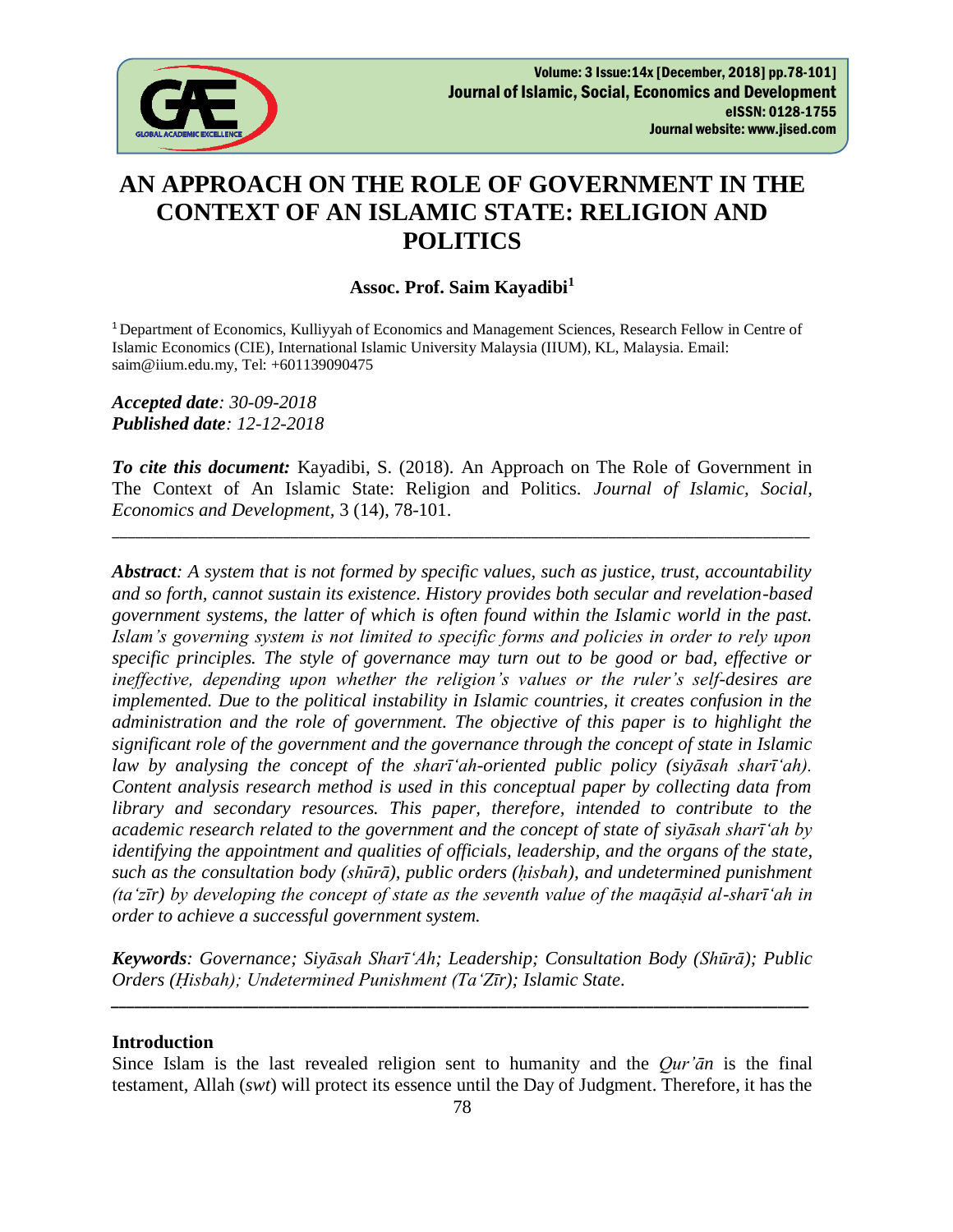

# **AN APPROACH ON THE ROLE OF GOVERNMENT IN THE CONTEXT OF AN ISLAMIC STATE: RELIGION AND POLITICS**

## **Assoc. Prof. Saim Kayadibi<sup>1</sup>**

<sup>1</sup> Department of Economics, Kulliyyah of Economics and Management Sciences, Research Fellow in Centre of Islamic Economics (CIE), International Islamic University Malaysia (IIUM), KL, Malaysia. Email: saim@iium.edu.my, Tel: +601139090475

*Accepted date: 30-09-2018 Published date: 12-12-2018*

*To cite this document:* Kayadibi, S. (2018). An Approach on The Role of Government in The Context of An Islamic State: Religion and Politics. *Journal of Islamic, Social, Economics and Development,* 3 (14), 78-101.

\_\_\_\_\_\_\_\_\_\_\_\_\_\_\_\_\_\_\_\_\_\_\_\_\_\_\_\_\_\_\_\_\_\_\_\_\_\_\_\_\_\_\_\_\_\_\_\_\_\_\_\_\_\_\_\_\_\_\_\_\_\_\_\_\_\_\_\_\_\_\_\_\_\_\_\_\_\_\_\_\_\_\_\_\_\_\_\_\_\_

*Abstract: A system that is not formed by specific values, such as justice, trust, accountability and so forth, cannot sustain its existence. History provides both secular and revelation-based government systems, the latter of which is often found within the Islamic world in the past. Islam's governing system is not limited to specific forms and policies in order to rely upon specific principles. The style of governance may turn out to be good or bad, effective or ineffective, depending upon whether the religion's values or the ruler's self-desires are implemented. Due to the political instability in Islamic countries, it creates confusion in the administration and the role of government. The objective of this paper is to highlight the significant role of the government and the governance through the concept of state in Islamic law by analysing the concept of the sharī'ah-oriented public policy (siyāsah sharī'ah). Content analysis research method is used in this conceptual paper by collecting data from library and secondary resources. This paper, therefore, intended to contribute to the academic research related to the government and the concept of state of siyāsah sharī'ah by identifying the appointment and qualities of officials, leadership, and the organs of the state, such as the consultation body (shūrā), public orders (ḥisbah), and undetermined punishment (ta'zīr) by developing the concept of state as the seventh value of the maqāṣid al-sharī'ah in order to achieve a successful government system.* 

*Keywords: Governance; Siyāsah Sharī'Ah; Leadership; Consultation Body (Shūrā); Public Orders (Ḥisbah); Undetermined Punishment (Ta'Zīr); Islamic State.*

*\_\_\_\_\_\_\_\_\_\_\_\_\_\_\_\_\_\_\_\_\_\_\_\_\_\_\_\_\_\_\_\_\_\_\_\_\_\_\_\_\_\_\_\_\_\_\_\_\_\_\_\_\_\_\_\_\_\_\_\_\_\_\_\_\_\_\_\_\_\_\_\_\_\_\_\_\_\_\_\_\_\_\_\_\_\_\_\_\_\_*

#### **Introduction**

Since Islam is the last revealed religion sent to humanity and the *Qur'ān* is the final testament, Allah (*swt*) will protect its essence until the Day of Judgment. Therefore, it has the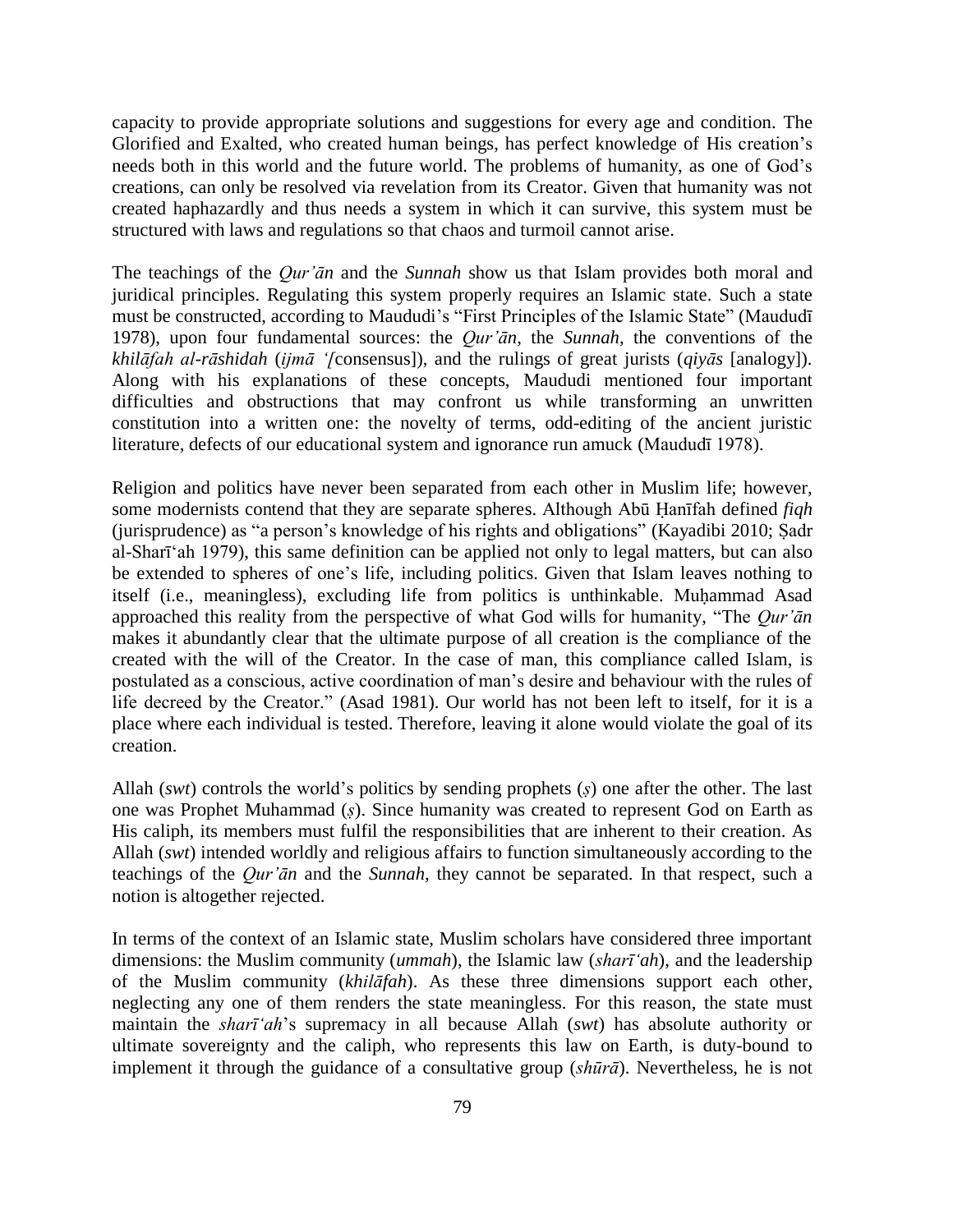capacity to provide appropriate solutions and suggestions for every age and condition. The Glorified and Exalted, who created human beings, has perfect knowledge of His creation's needs both in this world and the future world. The problems of humanity, as one of God's creations, can only be resolved via revelation from its Creator. Given that humanity was not created haphazardly and thus needs a system in which it can survive, this system must be structured with laws and regulations so that chaos and turmoil cannot arise.

The teachings of the *Qur'ān* and the *Sunnah* show us that Islam provides both moral and juridical principles. Regulating this system properly requires an Islamic state. Such a state must be constructed, according to Maududi's "First Principles of the Islamic State" (Maududī 1978), upon four fundamental sources: the *Qur'ān*, the *Sunnah*, the conventions of the *khilāfah al-rāshidah* (*ijmā '[*consensus]), and the rulings of great jurists (*qiyās* [analogy]). Along with his explanations of these concepts, Maududi mentioned four important difficulties and obstructions that may confront us while transforming an unwritten constitution into a written one: the novelty of terms, odd-editing of the ancient juristic literature, defects of our educational system and ignorance run amuck (Maududī 1978).

Religion and politics have never been separated from each other in Muslim life; however, some modernists contend that they are separate spheres. Although Abū Ḥanīfah defined *fiqh* (jurisprudence) as "a person's knowledge of his rights and obligations" (Kayadibi 2010; Ṣadr al-Sharī'ah 1979), this same definition can be applied not only to legal matters, but can also be extended to spheres of one's life, including politics. Given that Islam leaves nothing to itself (i.e., meaningless), excluding life from politics is unthinkable. Muḥammad Asad approached this reality from the perspective of what God wills for humanity, "The *Qur'ān* makes it abundantly clear that the ultimate purpose of all creation is the compliance of the created with the will of the Creator. In the case of man, this compliance called Islam, is postulated as a conscious, active coordination of man's desire and behaviour with the rules of life decreed by the Creator." (Asad 1981). Our world has not been left to itself, for it is a place where each individual is tested. Therefore, leaving it alone would violate the goal of its creation.

Allah (*swt*) controls the world's politics by sending prophets (*ṣ*) one after the other. The last one was Prophet Muhammad (*ṣ*). Since humanity was created to represent God on Earth as His caliph, its members must fulfil the responsibilities that are inherent to their creation. As Allah (*swt*) intended worldly and religious affairs to function simultaneously according to the teachings of the *Qur'ān* and the *Sunnah*, they cannot be separated. In that respect, such a notion is altogether rejected.

In terms of the context of an Islamic state, Muslim scholars have considered three important dimensions: the Muslim community (*ummah*), the Islamic law (*sharī'ah*), and the leadership of the Muslim community (*khilāfah*). As these three dimensions support each other, neglecting any one of them renders the state meaningless. For this reason, the state must maintain the *sharī'ah*'s supremacy in all because Allah (*swt*) has absolute authority or ultimate sovereignty and the caliph, who represents this law on Earth, is duty-bound to implement it through the guidance of a consultative group (*shūrā*). Nevertheless, he is not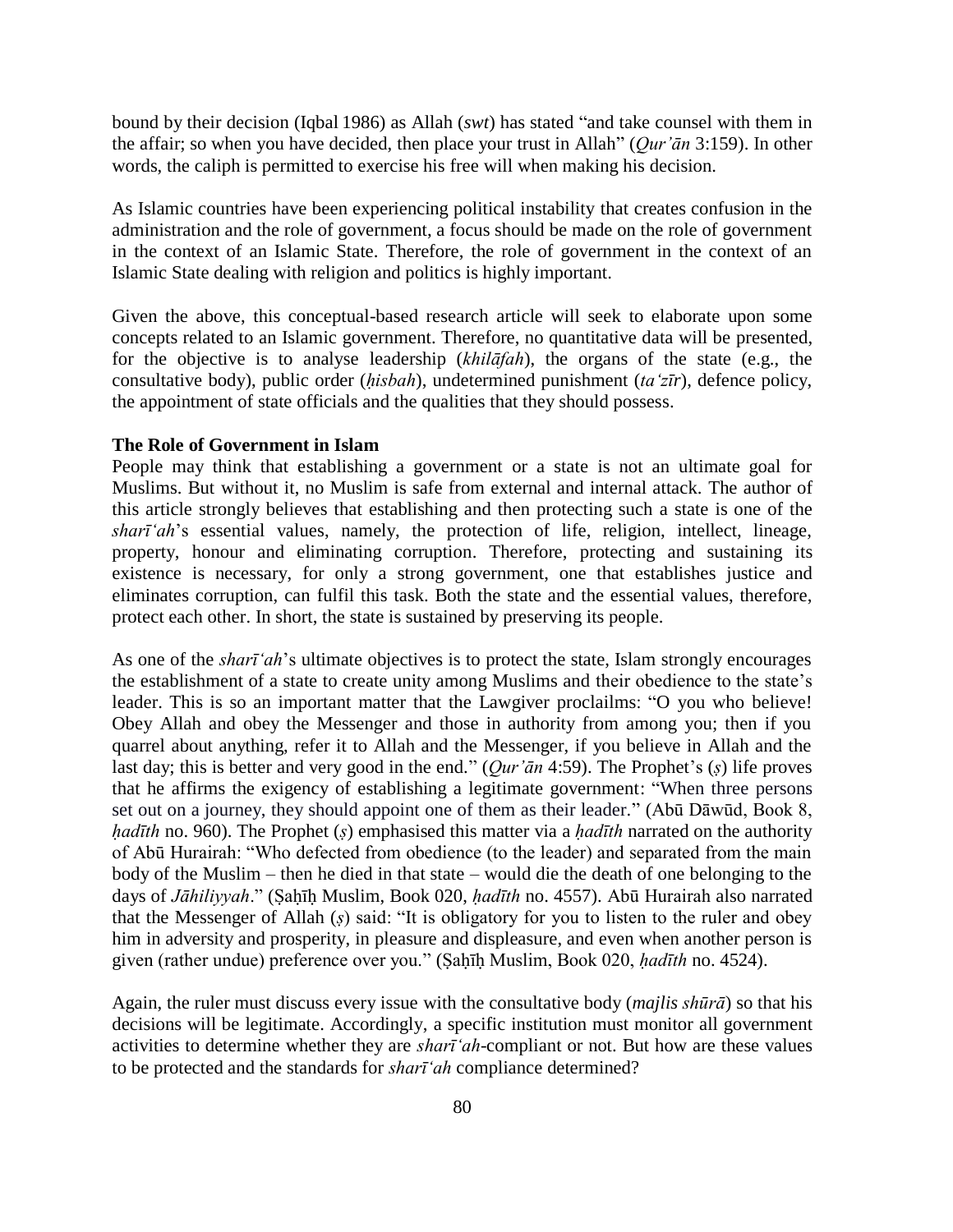bound by their decision (Iqbal 1986) as Allah (*swt*) has stated "and take counsel with them in the affair; so when you have decided, then place your trust in Allah" (*Qur'ān* 3:159). In other words, the caliph is permitted to exercise his free will when making his decision.

As Islamic countries have been experiencing political instability that creates confusion in the administration and the role of government, a focus should be made on the role of government in the context of an Islamic State. Therefore, the role of government in the context of an Islamic State dealing with religion and politics is highly important.

Given the above, this conceptual-based research article will seek to elaborate upon some concepts related to an Islamic government. Therefore, no quantitative data will be presented, for the objective is to analyse leadership (*khilāfah*), the organs of the state (e.g., the consultative body), public order (*ḥisbah*), undetermined punishment (*ta'zīr*), defence policy, the appointment of state officials and the qualities that they should possess.

## **The Role of Government in Islam**

People may think that establishing a government or a state is not an ultimate goal for Muslims. But without it, no Muslim is safe from external and internal attack. The author of this article strongly believes that establishing and then protecting such a state is one of the *sharī'ah*'s essential values, namely, the protection of life, religion, intellect, lineage, property, honour and eliminating corruption. Therefore, protecting and sustaining its existence is necessary, for only a strong government, one that establishes justice and eliminates corruption, can fulfil this task. Both the state and the essential values, therefore, protect each other. In short, the state is sustained by preserving its people.

As one of the *sharī'ah*'s ultimate objectives is to protect the state, Islam strongly encourages the establishment of a state to create unity among Muslims and their obedience to the state's leader. This is so an important matter that the Lawgiver proclailms: "O you who believe! Obey Allah and obey the Messenger and those in authority from among you; then if you quarrel about anything, refer it to Allah and the Messenger, if you believe in Allah and the last day; this is better and very good in the end." (*Qur'ān* 4:59). The Prophet's (*ṣ*) life proves that he affirms the exigency of establishing a legitimate government: "When three persons set out on a journey, they should appoint one of them as their leader." (Abū Dāwūd, Book 8, *hadīth* no. 960). The Prophet (*s*) emphasised this matter via a *hadīth* narrated on the authority of Abū Hurairah: "Who defected from obedience (to the leader) and separated from the main body of the Muslim – then he died in that state – would die the death of one belonging to the days of *Jāhiliyyah*." (Ṣaḥīḥ Muslim, Book 020, *ḥadīth* no. 4557). Abū Hurairah also narrated that the Messenger of Allah (*ṣ*) said: "It is obligatory for you to listen to the ruler and obey him in adversity and prosperity, in pleasure and displeasure, and even when another person is given (rather undue) preference over you." (Ṣaḥīḥ Muslim, Book 020, *ḥadīth* no. 4524).

Again, the ruler must discuss every issue with the consultative body (*majlis shūrā*) so that his decisions will be legitimate. Accordingly, a specific institution must monitor all government activities to determine whether they are *sharī'ah*-compliant or not. But how are these values to be protected and the standards for *sharī'ah* compliance determined?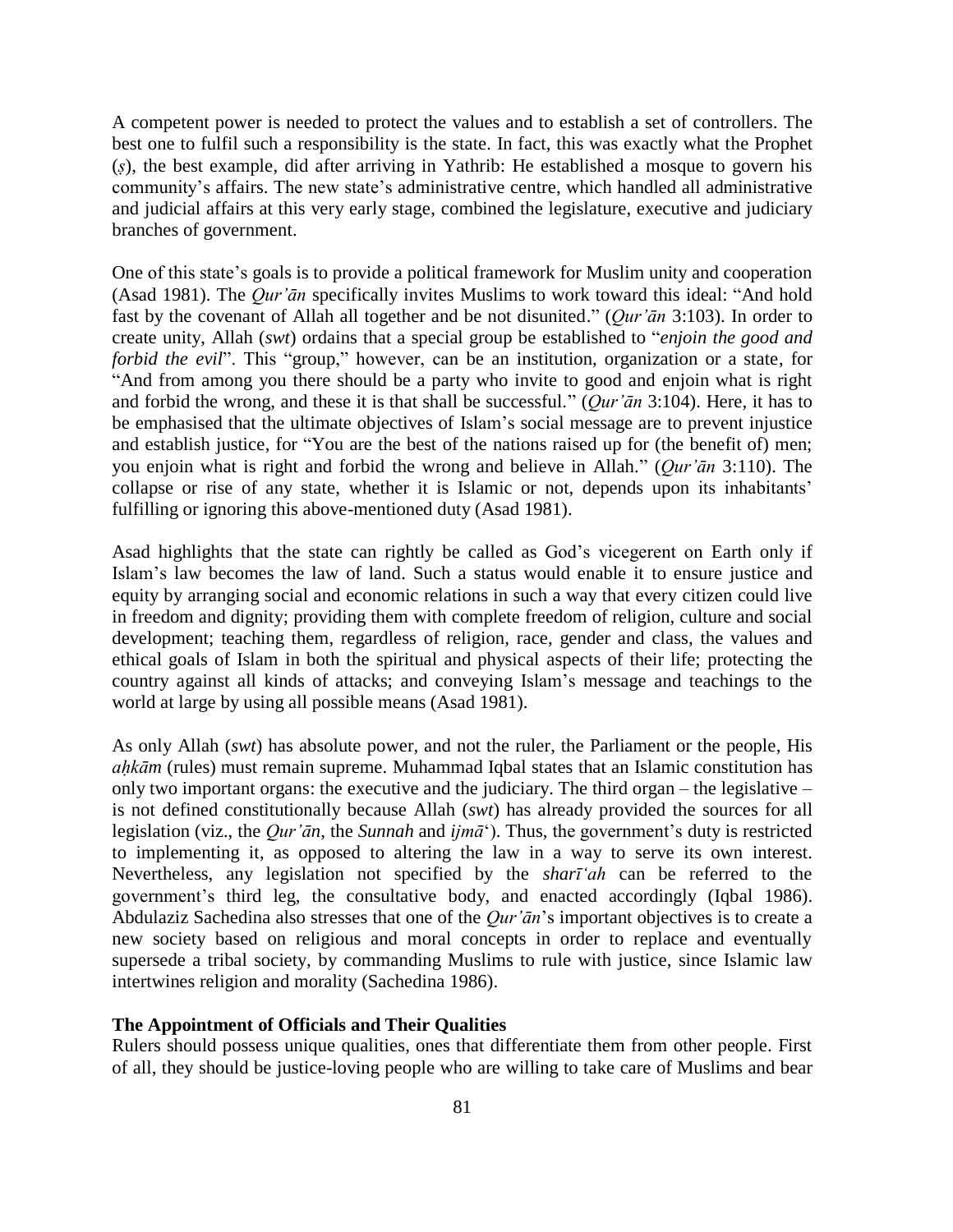A competent power is needed to protect the values and to establish a set of controllers. The best one to fulfil such a responsibility is the state. In fact, this was exactly what the Prophet (*ṣ*), the best example, did after arriving in Yathrib: He established a mosque to govern his community's affairs. The new state's administrative centre, which handled all administrative and judicial affairs at this very early stage, combined the legislature, executive and judiciary branches of government.

One of this state's goals is to provide a political framework for Muslim unity and cooperation (Asad 1981). The *Qur'ān* specifically invites Muslims to work toward this ideal: "And hold fast by the covenant of Allah all together and be not disunited." (*Qur'ān* 3:103). In order to create unity, Allah (*swt*) ordains that a special group be established to "*enjoin the good and forbid the evil*". This "group," however, can be an institution, organization or a state, for "And from among you there should be a party who invite to good and enjoin what is right and forbid the wrong, and these it is that shall be successful." (*Qur'ān* 3:104). Here, it has to be emphasised that the ultimate objectives of Islam's social message are to prevent injustice and establish justice, for "You are the best of the nations raised up for (the benefit of) men; you enjoin what is right and forbid the wrong and believe in Allah." (*Qur'ān* 3:110). The collapse or rise of any state, whether it is Islamic or not, depends upon its inhabitants' fulfilling or ignoring this above-mentioned duty (Asad 1981).

Asad highlights that the state can rightly be called as God's vicegerent on Earth only if Islam's law becomes the law of land. Such a status would enable it to ensure justice and equity by arranging social and economic relations in such a way that every citizen could live in freedom and dignity; providing them with complete freedom of religion, culture and social development; teaching them, regardless of religion, race, gender and class, the values and ethical goals of Islam in both the spiritual and physical aspects of their life; protecting the country against all kinds of attacks; and conveying Islam's message and teachings to the world at large by using all possible means (Asad 1981).

As only Allah (*swt*) has absolute power, and not the ruler, the Parliament or the people, His *aḥkām* (rules) must remain supreme. Muhammad Iqbal states that an Islamic constitution has only two important organs: the executive and the judiciary. The third organ – the legislative – is not defined constitutionally because Allah (*swt*) has already provided the sources for all legislation (viz., the *Qur'ān*, the *Sunnah* and *ijmā*'). Thus, the government's duty is restricted to implementing it, as opposed to altering the law in a way to serve its own interest. Nevertheless, any legislation not specified by the *sharī'ah* can be referred to the government's third leg, the consultative body, and enacted accordingly (Iqbal 1986). Abdulaziz Sachedina also stresses that one of the *Qur'ān*'s important objectives is to create a new society based on religious and moral concepts in order to replace and eventually supersede a tribal society, by commanding Muslims to rule with justice, since Islamic law intertwines religion and morality (Sachedina 1986).

## **The Appointment of Officials and Their Qualities**

Rulers should possess unique qualities, ones that differentiate them from other people. First of all, they should be justice-loving people who are willing to take care of Muslims and bear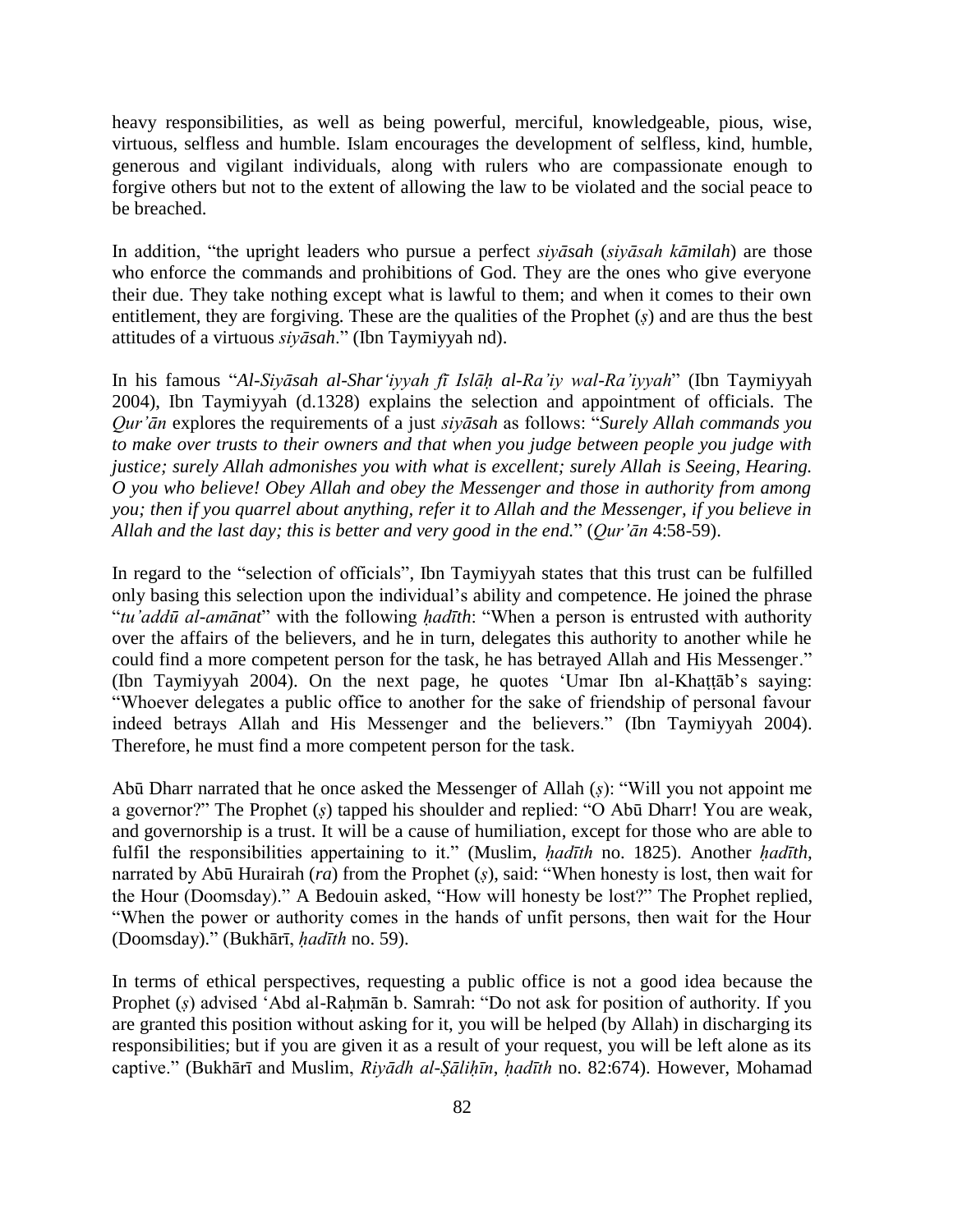heavy responsibilities, as well as being powerful, merciful, knowledgeable, pious, wise, virtuous, selfless and humble. Islam encourages the development of selfless, kind, humble, generous and vigilant individuals, along with rulers who are compassionate enough to forgive others but not to the extent of allowing the law to be violated and the social peace to be breached.

In addition, "the upright leaders who pursue a perfect *siyāsah* (*siyāsah kāmilah*) are those who enforce the commands and prohibitions of God. They are the ones who give everyone their due. They take nothing except what is lawful to them; and when it comes to their own entitlement, they are forgiving. These are the qualities of the Prophet (*ṣ*) and are thus the best attitudes of a virtuous *siyāsah*." (Ibn Taymiyyah nd).

In his famous "*Al-Siyāsah al-Shar'iyyah fī Islāḥ al-Ra'iy wal-Ra'iyyah*" (Ibn Taymiyyah 2004), Ibn Taymiyyah (d.1328) explains the selection and appointment of officials. The *Qur'ān* explores the requirements of a just *siyāsah* as follows: "*Surely Allah commands you to make over trusts to their owners and that when you judge between people you judge with justice; surely Allah admonishes you with what is excellent; surely Allah is Seeing, Hearing. O you who believe! Obey Allah and obey the Messenger and those in authority from among you; then if you quarrel about anything, refer it to Allah and the Messenger, if you believe in Allah and the last day; this is better and very good in the end.*" (*Qur'ān* 4:58-59).

In regard to the "selection of officials", Ibn Taymiyyah states that this trust can be fulfilled only basing this selection upon the individual's ability and competence. He joined the phrase "*tu'addū al-amānat*" with the following *ḥadīth*: "When a person is entrusted with authority over the affairs of the believers, and he in turn, delegates this authority to another while he could find a more competent person for the task, he has betrayed Allah and His Messenger." (Ibn Taymiyyah 2004). On the next page, he quotes 'Umar Ibn al-Khaṭṭāb's saying: "Whoever delegates a public office to another for the sake of friendship of personal favour indeed betrays Allah and His Messenger and the believers." (Ibn Taymiyyah 2004). Therefore, he must find a more competent person for the task.

Abū Dharr narrated that he once asked the Messenger of Allah (*ṣ*): "Will you not appoint me a governor?" The Prophet (*ṣ*) tapped his shoulder and replied: "O Abū Dharr! You are weak, and governorship is a trust. It will be a cause of humiliation, except for those who are able to fulfil the responsibilities appertaining to it." (Muslim, *ḥadīth* no. 1825). Another *ḥadīth,* narrated by Abū Hurairah (*ra*) from the Prophet (*ṣ*), said: "When honesty is lost, then wait for the Hour (Doomsday)." A Bedouin asked, "How will honesty be lost?" The Prophet replied, "When the power or authority comes in the hands of unfit persons, then wait for the Hour (Doomsday)." (Bukhārī, *ḥadīth* no. 59).

In terms of ethical perspectives, requesting a public office is not a good idea because the Prophet (*ṣ*) advised 'Abd al-Raḥmān b. Samrah: "Do not ask for position of authority. If you are granted this position without asking for it, you will be helped (by Allah) in discharging its responsibilities; but if you are given it as a result of your request, you will be left alone as its captive." (Bukhārī and Muslim, *Riyādh al-Ṣāliḥīn*, *ḥadīth* no. 82:674). However, Mohamad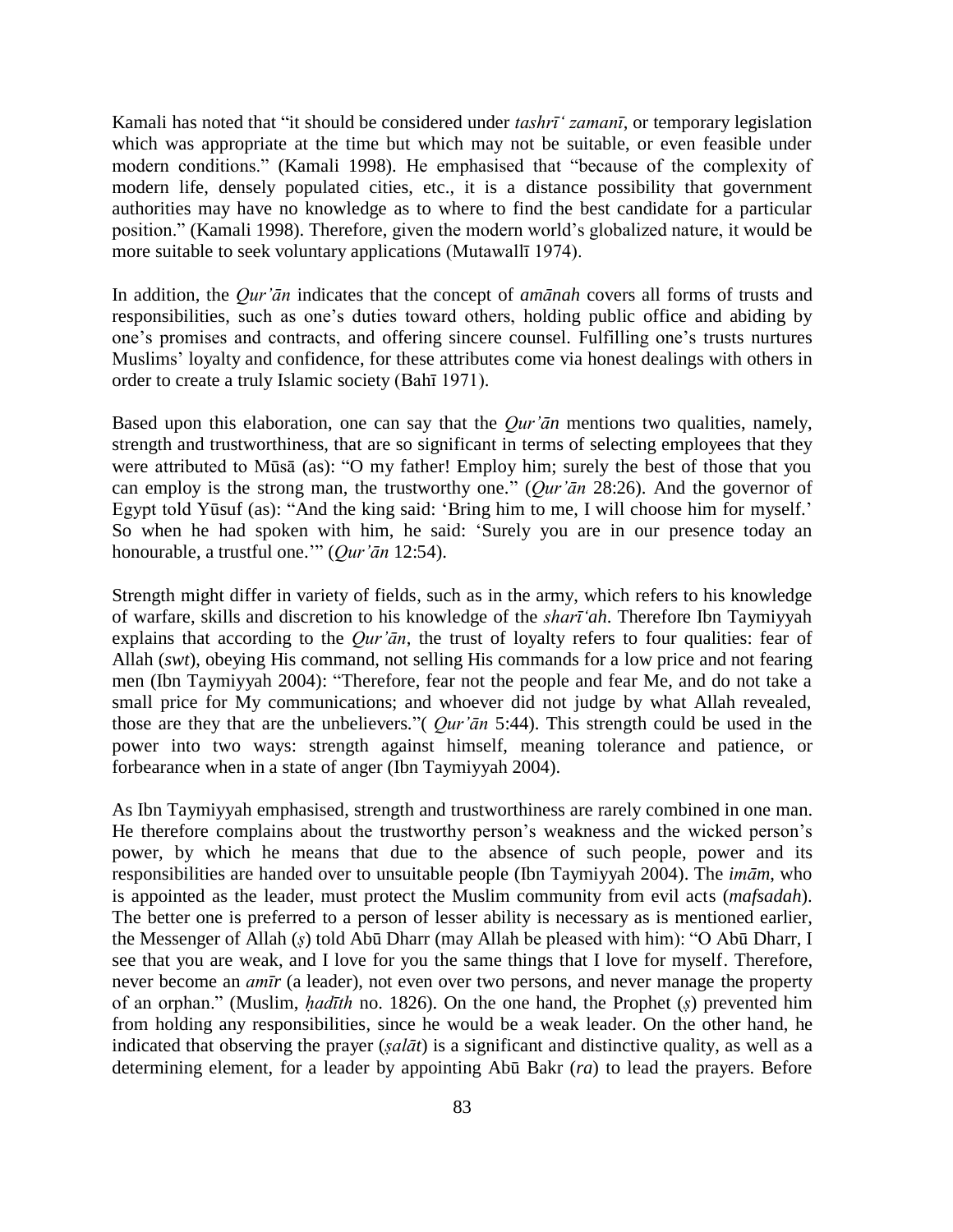Kamali has noted that "it should be considered under *tashrī' zamanī*, or temporary legislation which was appropriate at the time but which may not be suitable, or even feasible under modern conditions." (Kamali 1998). He emphasised that "because of the complexity of modern life, densely populated cities, etc., it is a distance possibility that government authorities may have no knowledge as to where to find the best candidate for a particular position." (Kamali 1998). Therefore, given the modern world's globalized nature, it would be more suitable to seek voluntary applications (Mutawallī 1974).

In addition, the *Qur'ān* indicates that the concept of *amānah* covers all forms of trusts and responsibilities, such as one's duties toward others, holding public office and abiding by one's promises and contracts, and offering sincere counsel. Fulfilling one's trusts nurtures Muslims' loyalty and confidence, for these attributes come via honest dealings with others in order to create a truly Islamic society (Bahī 1971).

Based upon this elaboration, one can say that the *Qur'ān* mentions two qualities, namely, strength and trustworthiness, that are so significant in terms of selecting employees that they were attributed to Mūsā (as): "O my father! Employ him; surely the best of those that you can employ is the strong man, the trustworthy one." (*Qur'ān* 28:26). And the governor of Egypt told Yūsuf (as): "And the king said: 'Bring him to me, I will choose him for myself.' So when he had spoken with him, he said: 'Surely you are in our presence today an honourable, a trustful one.'" (*Qur'ān* 12:54).

Strength might differ in variety of fields, such as in the army, which refers to his knowledge of warfare, skills and discretion to his knowledge of the *sharī'ah*. Therefore Ibn Taymiyyah explains that according to the *Qur'ān*, the trust of loyalty refers to four qualities: fear of Allah (*swt*), obeying His command, not selling His commands for a low price and not fearing men (Ibn Taymiyyah 2004): "Therefore, fear not the people and fear Me, and do not take a small price for My communications; and whoever did not judge by what Allah revealed, those are they that are the unbelievers."( *Qur'ān* 5:44). This strength could be used in the power into two ways: strength against himself, meaning tolerance and patience, or forbearance when in a state of anger (Ibn Taymiyyah 2004).

As Ibn Taymiyyah emphasised, strength and trustworthiness are rarely combined in one man. He therefore complains about the trustworthy person's weakness and the wicked person's power, by which he means that due to the absence of such people, power and its responsibilities are handed over to unsuitable people (Ibn Taymiyyah 2004). The *imām*, who is appointed as the leader, must protect the Muslim community from evil acts (*mafsadah*). The better one is preferred to a person of lesser ability is necessary as is mentioned earlier, the Messenger of Allah (*ṣ*) told Abū Dharr (may Allah be pleased with him): "O Abū Dharr, I see that you are weak, and I love for you the same things that I love for myself. Therefore, never become an *amīr* (a leader), not even over two persons, and never manage the property of an orphan." (Muslim, *ḥadīth* no. 1826). On the one hand, the Prophet (*ṣ*) prevented him from holding any responsibilities, since he would be a weak leader. On the other hand, he indicated that observing the prayer (*ṣalāt*) is a significant and distinctive quality, as well as a determining element, for a leader by appointing Abū Bakr (*ra*) to lead the prayers. Before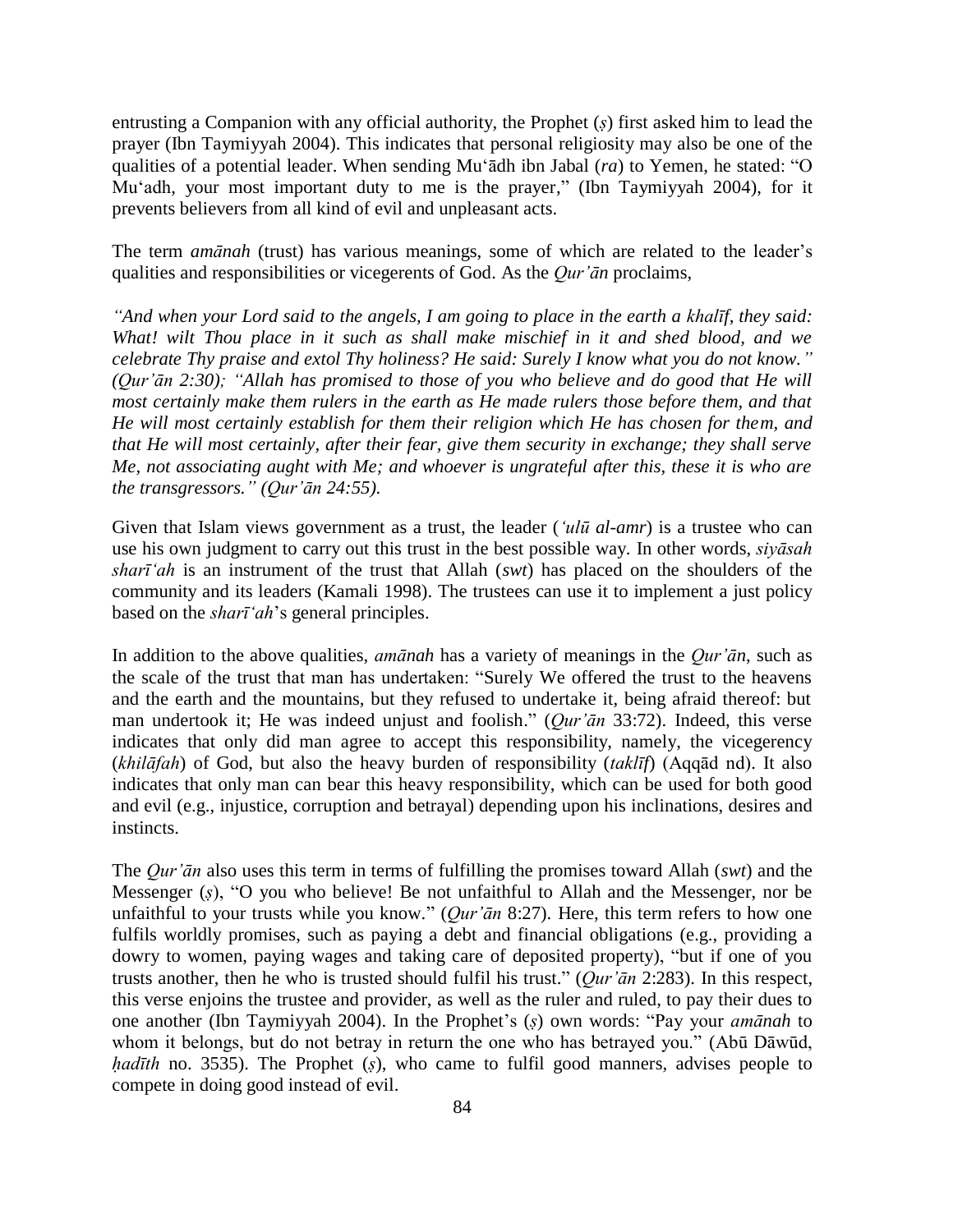entrusting a Companion with any official authority, the Prophet (*ṣ*) first asked him to lead the prayer (Ibn Taymiyyah 2004). This indicates that personal religiosity may also be one of the qualities of a potential leader. When sending Mu'ādh ibn Jabal (*ra*) to Yemen, he stated: "O Mu'adh, your most important duty to me is the prayer," (Ibn Taymiyyah 2004), for it prevents believers from all kind of evil and unpleasant acts.

The term *amānah* (trust) has various meanings, some of which are related to the leader's qualities and responsibilities or vicegerents of God. As the *Qur'ān* proclaims,

*"And when your Lord said to the angels, I am going to place in the earth a khalīf, they said: What! wilt Thou place in it such as shall make mischief in it and shed blood, and we celebrate Thy praise and extol Thy holiness? He said: Surely I know what you do not know." (Qur'ān 2:30); "Allah has promised to those of you who believe and do good that He will most certainly make them rulers in the earth as He made rulers those before them, and that He will most certainly establish for them their religion which He has chosen for them, and that He will most certainly, after their fear, give them security in exchange; they shall serve Me, not associating aught with Me; and whoever is ungrateful after this, these it is who are the transgressors." (Qur'ān 24:55).*

Given that Islam views government as a trust, the leader (*'ulū al-amr*) is a trustee who can use his own judgment to carry out this trust in the best possible way. In other words, *siyāsah sharī'ah* is an instrument of the trust that Allah (*swt*) has placed on the shoulders of the community and its leaders (Kamali 1998). The trustees can use it to implement a just policy based on the *sharī'ah*'s general principles.

In addition to the above qualities, *amānah* has a variety of meanings in the *Qur'ān*, such as the scale of the trust that man has undertaken: "Surely We offered the trust to the heavens and the earth and the mountains, but they refused to undertake it, being afraid thereof: but man undertook it; He was indeed unjust and foolish." (*Qur'ān* 33:72). Indeed, this verse indicates that only did man agree to accept this responsibility, namely, the vicegerency (*khilāfah*) of God, but also the heavy burden of responsibility (*taklīf*) (Aqqād nd). It also indicates that only man can bear this heavy responsibility, which can be used for both good and evil (e.g., injustice, corruption and betrayal) depending upon his inclinations, desires and instincts.

The *Qur'ān* also uses this term in terms of fulfilling the promises toward Allah (*swt*) and the Messenger (*ṣ*), "O you who believe! Be not unfaithful to Allah and the Messenger, nor be unfaithful to your trusts while you know." (*Qur'ān* 8:27). Here, this term refers to how one fulfils worldly promises, such as paying a debt and financial obligations (e.g., providing a dowry to women, paying wages and taking care of deposited property), "but if one of you trusts another, then he who is trusted should fulfil his trust." (*Qur'ān* 2:283). In this respect, this verse enjoins the trustee and provider, as well as the ruler and ruled, to pay their dues to one another (Ibn Taymiyyah 2004). In the Prophet's (*ṣ*) own words: "Pay your *amānah* to whom it belongs, but do not betray in return the one who has betrayed you." (Abū Dāwūd, *hadīth* no. 3535). The Prophet (*s*), who came to fulfil good manners, advises people to compete in doing good instead of evil.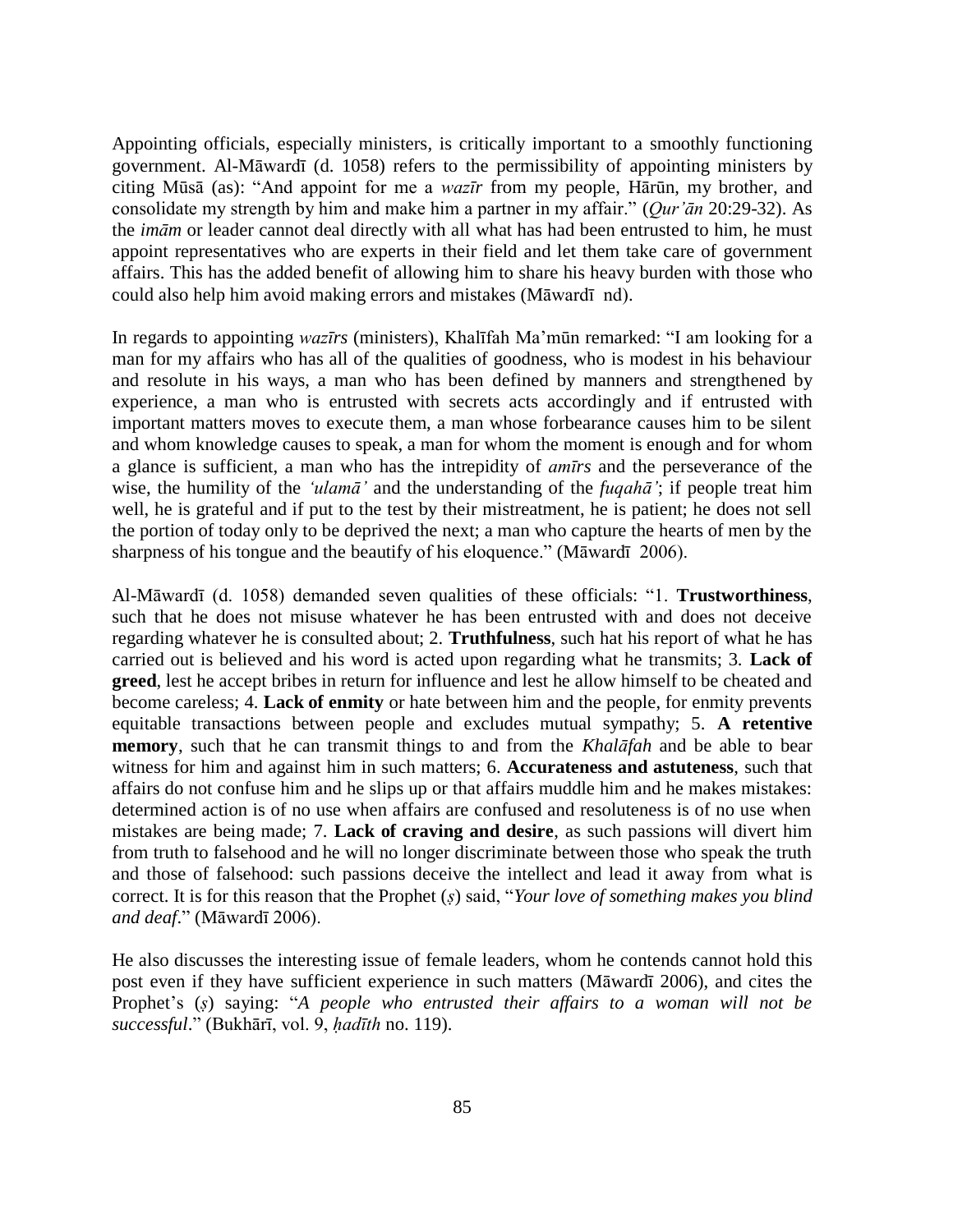Appointing officials, especially ministers, is critically important to a smoothly functioning government. Al-Māwardī (d. 1058) refers to the permissibility of appointing ministers by citing Mūsā (as): "And appoint for me a *wazīr* from my people, Hārūn, my brother, and consolidate my strength by him and make him a partner in my affair." (*Qur'ān* 20:29-32). As the *imām* or leader cannot deal directly with all what has had been entrusted to him, he must appoint representatives who are experts in their field and let them take care of government affairs. This has the added benefit of allowing him to share his heavy burden with those who could also help him avoid making errors and mistakes (Māwardī nd).

In regards to appointing *wazīrs* (ministers), Khalīfah Ma'mūn remarked: "I am looking for a man for my affairs who has all of the qualities of goodness, who is modest in his behaviour and resolute in his ways, a man who has been defined by manners and strengthened by experience, a man who is entrusted with secrets acts accordingly and if entrusted with important matters moves to execute them, a man whose forbearance causes him to be silent and whom knowledge causes to speak, a man for whom the moment is enough and for whom a glance is sufficient, a man who has the intrepidity of *amīrs* and the perseverance of the wise, the humility of the *'ulamā'* and the understanding of the *fuqahā'*; if people treat him well, he is grateful and if put to the test by their mistreatment, he is patient; he does not sell the portion of today only to be deprived the next; a man who capture the hearts of men by the sharpness of his tongue and the beautify of his eloquence." (Māwardī 2006).

Al-Māwardī (d. 1058) demanded seven qualities of these officials: "1. **Trustworthiness**, such that he does not misuse whatever he has been entrusted with and does not deceive regarding whatever he is consulted about; 2. **Truthfulness**, such hat his report of what he has carried out is believed and his word is acted upon regarding what he transmits; 3. **Lack of greed**, lest he accept bribes in return for influence and lest he allow himself to be cheated and become careless; 4. **Lack of enmity** or hate between him and the people, for enmity prevents equitable transactions between people and excludes mutual sympathy; 5. **A retentive memory**, such that he can transmit things to and from the *Khalāfah* and be able to bear witness for him and against him in such matters; 6. **Accurateness and astuteness**, such that affairs do not confuse him and he slips up or that affairs muddle him and he makes mistakes: determined action is of no use when affairs are confused and resoluteness is of no use when mistakes are being made; 7. **Lack of craving and desire**, as such passions will divert him from truth to falsehood and he will no longer discriminate between those who speak the truth and those of falsehood: such passions deceive the intellect and lead it away from what is correct. It is for this reason that the Prophet (*ṣ*) said, "*Your love of something makes you blind and deaf*." (Māwardī 2006).

He also discusses the interesting issue of female leaders, whom he contends cannot hold this post even if they have sufficient experience in such matters (Māwardī 2006), and cites the Prophet's (*ṣ*) saying: "*A people who entrusted their affairs to a woman will not be successful*." (Bukhārī, vol. 9, *ḥadīth* no. 119).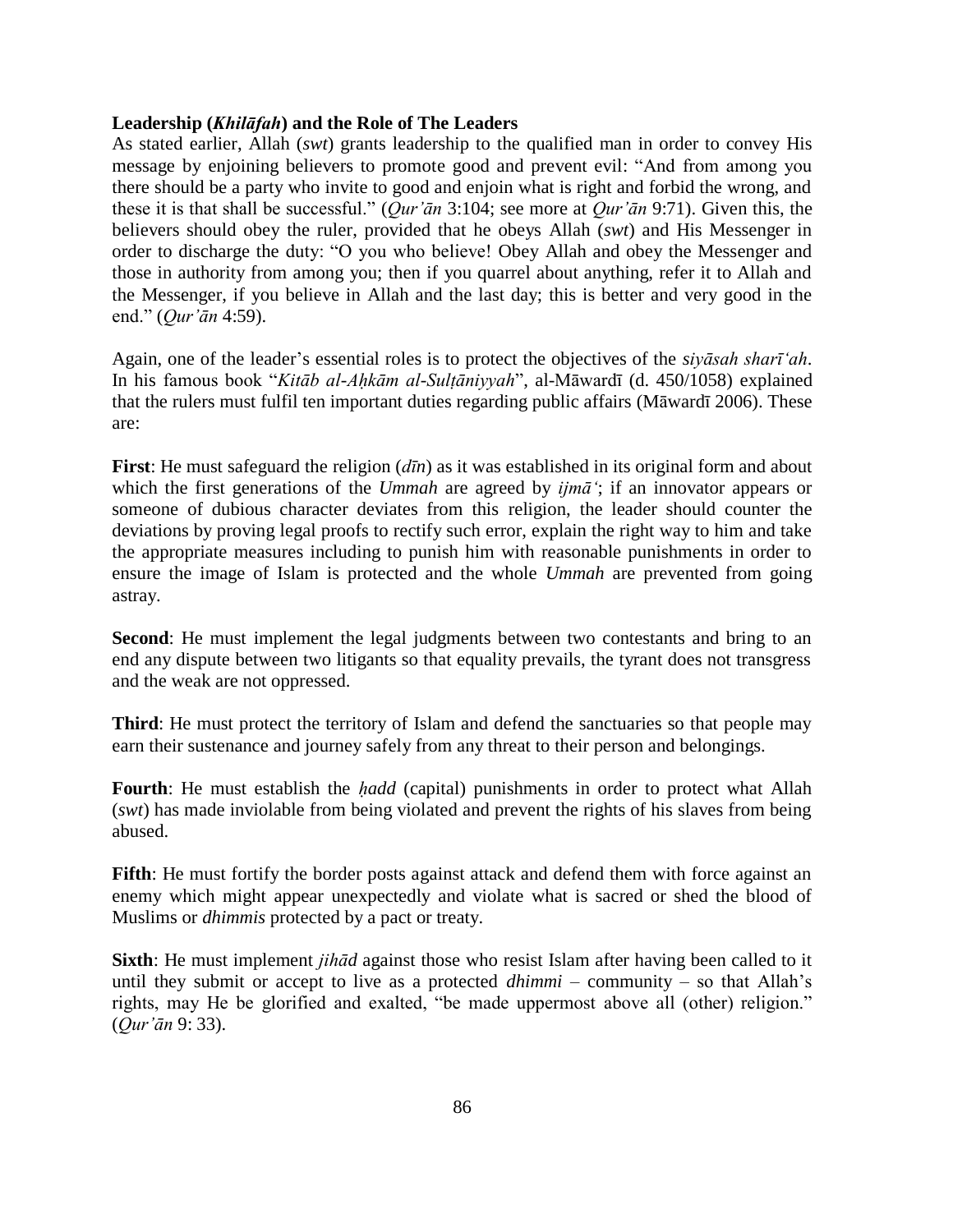## **Leadership (***Khilāfah***) and the Role of The Leaders**

As stated earlier, Allah (*swt*) grants leadership to the qualified man in order to convey His message by enjoining believers to promote good and prevent evil: "And from among you there should be a party who invite to good and enjoin what is right and forbid the wrong, and these it is that shall be successful." (*Qur'ān* 3:104; see more at *Qur'ān* 9:71). Given this, the believers should obey the ruler, provided that he obeys Allah (*swt*) and His Messenger in order to discharge the duty: "O you who believe! Obey Allah and obey the Messenger and those in authority from among you; then if you quarrel about anything, refer it to Allah and the Messenger, if you believe in Allah and the last day; this is better and very good in the end." (*Qur'ān* 4:59).

Again, one of the leader's essential roles is to protect the objectives of the *siyāsah sharī'ah*. In his famous book "*Kitāb al-Aḥkām al-Sulṭāniyyah*", al-Māwardī (d. 450/1058) explained that the rulers must fulfil ten important duties regarding public affairs (Māwardī 2006). These are:

**First**: He must safeguard the religion (*dīn*) as it was established in its original form and about which the first generations of the *Ummah* are agreed by *ijmā'*; if an innovator appears or someone of dubious character deviates from this religion, the leader should counter the deviations by proving legal proofs to rectify such error, explain the right way to him and take the appropriate measures including to punish him with reasonable punishments in order to ensure the image of Islam is protected and the whole *Ummah* are prevented from going astray.

**Second:** He must implement the legal judgments between two contestants and bring to an end any dispute between two litigants so that equality prevails, the tyrant does not transgress and the weak are not oppressed.

**Third**: He must protect the territory of Islam and defend the sanctuaries so that people may earn their sustenance and journey safely from any threat to their person and belongings.

**Fourth**: He must establish the *ḥadd* (capital) punishments in order to protect what Allah (*swt*) has made inviolable from being violated and prevent the rights of his slaves from being abused.

**Fifth**: He must fortify the border posts against attack and defend them with force against an enemy which might appear unexpectedly and violate what is sacred or shed the blood of Muslims or *dhimmis* protected by a pact or treaty.

**Sixth**: He must implement *jihād* against those who resist Islam after having been called to it until they submit or accept to live as a protected *dhimmi* – community – so that Allah's rights, may He be glorified and exalted, "be made uppermost above all (other) religion." (*Qur'ān* 9: 33).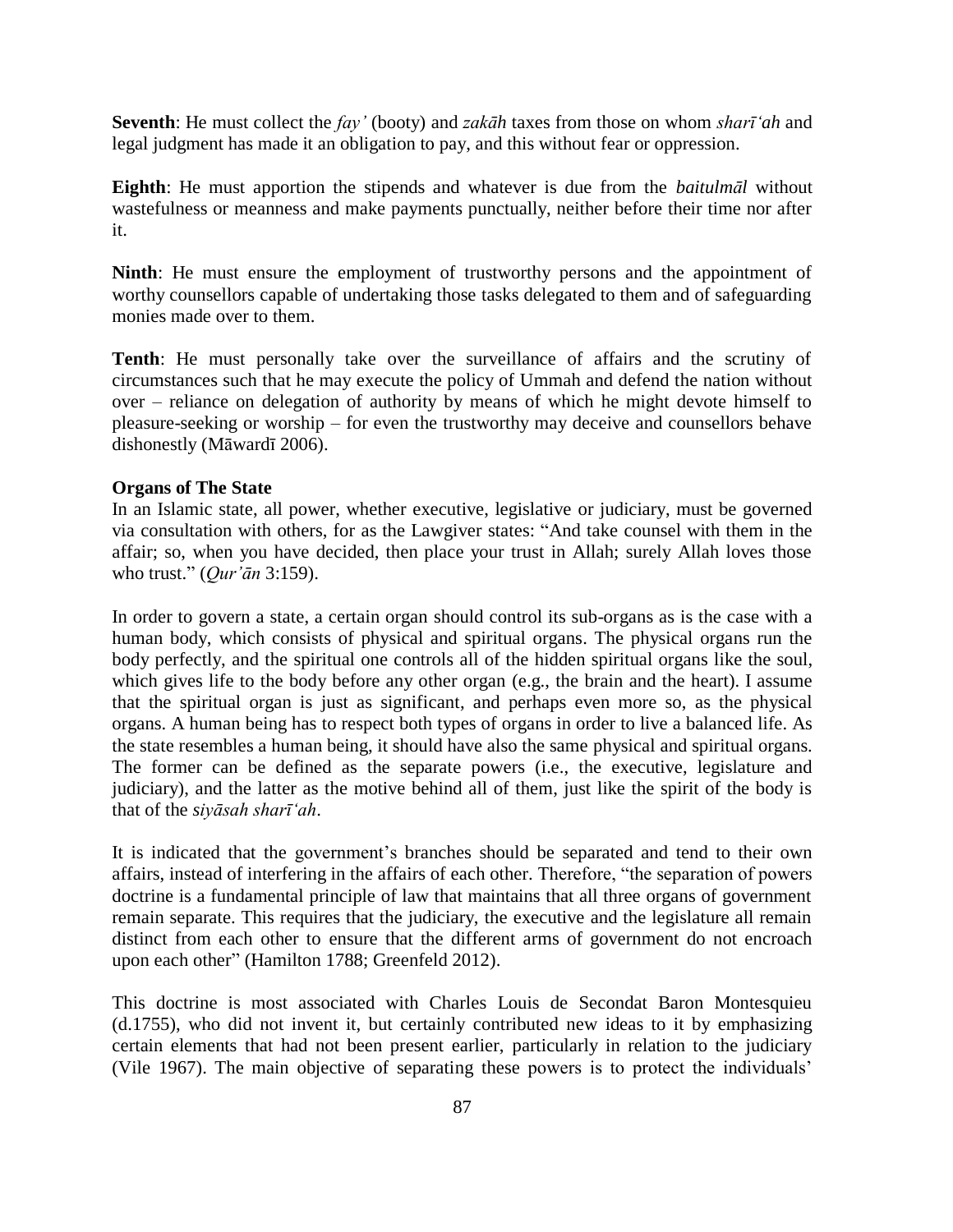**Seventh**: He must collect the *fay'* (booty) and *zakāh* taxes from those on whom *sharī'ah* and legal judgment has made it an obligation to pay, and this without fear or oppression.

**Eighth**: He must apportion the stipends and whatever is due from the *baitulmāl* without wastefulness or meanness and make payments punctually, neither before their time nor after it.

**Ninth**: He must ensure the employment of trustworthy persons and the appointment of worthy counsellors capable of undertaking those tasks delegated to them and of safeguarding monies made over to them.

**Tenth**: He must personally take over the surveillance of affairs and the scrutiny of circumstances such that he may execute the policy of Ummah and defend the nation without over – reliance on delegation of authority by means of which he might devote himself to pleasure-seeking or worship – for even the trustworthy may deceive and counsellors behave dishonestly (Māwardī 2006).

## **Organs of The State**

In an Islamic state, all power, whether executive, legislative or judiciary, must be governed via consultation with others, for as the Lawgiver states: "And take counsel with them in the affair; so, when you have decided, then place your trust in Allah; surely Allah loves those who trust." (*Qur'ān* 3:159).

In order to govern a state, a certain organ should control its sub-organs as is the case with a human body, which consists of physical and spiritual organs. The physical organs run the body perfectly, and the spiritual one controls all of the hidden spiritual organs like the soul, which gives life to the body before any other organ (e.g., the brain and the heart). I assume that the spiritual organ is just as significant, and perhaps even more so, as the physical organs. A human being has to respect both types of organs in order to live a balanced life. As the state resembles a human being, it should have also the same physical and spiritual organs. The former can be defined as the separate powers (i.e., the executive, legislature and judiciary), and the latter as the motive behind all of them, just like the spirit of the body is that of the *siyāsah sharī'ah*.

It is indicated that the government's branches should be separated and tend to their own affairs, instead of interfering in the affairs of each other. Therefore, "the separation of powers doctrine is a fundamental principle of law that maintains that all three organs of government remain separate. This requires that the judiciary, the executive and the legislature all remain distinct from each other to ensure that the different arms of government do not encroach upon each other" (Hamilton 1788; Greenfeld 2012).

This doctrine is most associated with Charles Louis de Secondat Baron Montesquieu (d.1755), who did not invent it, but certainly contributed new ideas to it by emphasizing certain elements that had not been present earlier, particularly in relation to the judiciary (Vile 1967). The main objective of separating these powers is to protect the individuals'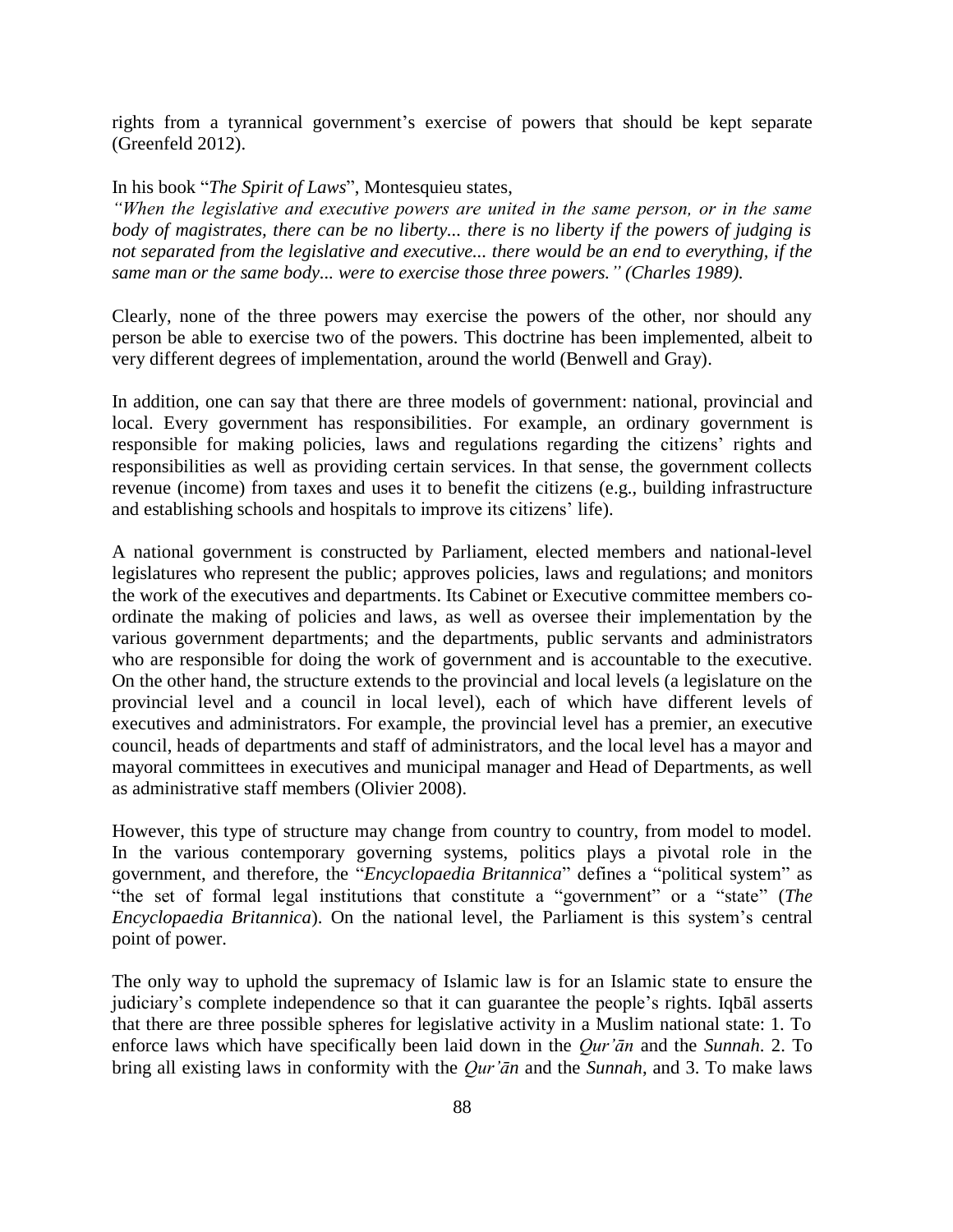rights from a tyrannical government's exercise of powers that should be kept separate (Greenfeld 2012).

In his book "*The Spirit of Laws*", Montesquieu states,

*"When the legislative and executive powers are united in the same person, or in the same body of magistrates, there can be no liberty... there is no liberty if the powers of judging is not separated from the legislative and executive... there would be an end to everything, if the same man or the same body... were to exercise those three powers." (Charles 1989).*

Clearly, none of the three powers may exercise the powers of the other, nor should any person be able to exercise two of the powers. This doctrine has been implemented, albeit to very different degrees of implementation, around the world (Benwell and Gray).

In addition, one can say that there are three models of government: national, provincial and local. Every government has responsibilities. For example, an ordinary government is responsible for making policies, laws and regulations regarding the citizens' rights and responsibilities as well as providing certain services. In that sense, the government collects revenue (income) from taxes and uses it to benefit the citizens (e.g., building infrastructure and establishing schools and hospitals to improve its citizens' life).

A national government is constructed by Parliament, elected members and national-level legislatures who represent the public; approves policies, laws and regulations; and monitors the work of the executives and departments. Its Cabinet or Executive committee members coordinate the making of policies and laws, as well as oversee their implementation by the various government departments; and the departments, public servants and administrators who are responsible for doing the work of government and is accountable to the executive. On the other hand, the structure extends to the provincial and local levels (a legislature on the provincial level and a council in local level), each of which have different levels of executives and administrators. For example, the provincial level has a premier, an executive council, heads of departments and staff of administrators, and the local level has a mayor and mayoral committees in executives and municipal manager and Head of Departments, as well as administrative staff members (Olivier 2008).

However, this type of structure may change from country to country, from model to model. In the various contemporary governing systems, politics plays a pivotal role in the government, and therefore, the "*Encyclopaedia Britannica*" defines a "political system" as "the set of formal legal institutions that constitute a "government" or a "state" (*The Encyclopaedia Britannica*). On the national level, the Parliament is this system's central point of power.

The only way to uphold the supremacy of Islamic law is for an Islamic state to ensure the judiciary's complete independence so that it can guarantee the people's rights. Iqbāl asserts that there are three possible spheres for legislative activity in a Muslim national state: 1. To enforce laws which have specifically been laid down in the *Qur'ān* and the *Sunnah*. 2. To bring all existing laws in conformity with the *Qur'ān* and the *Sunnah*, and 3. To make laws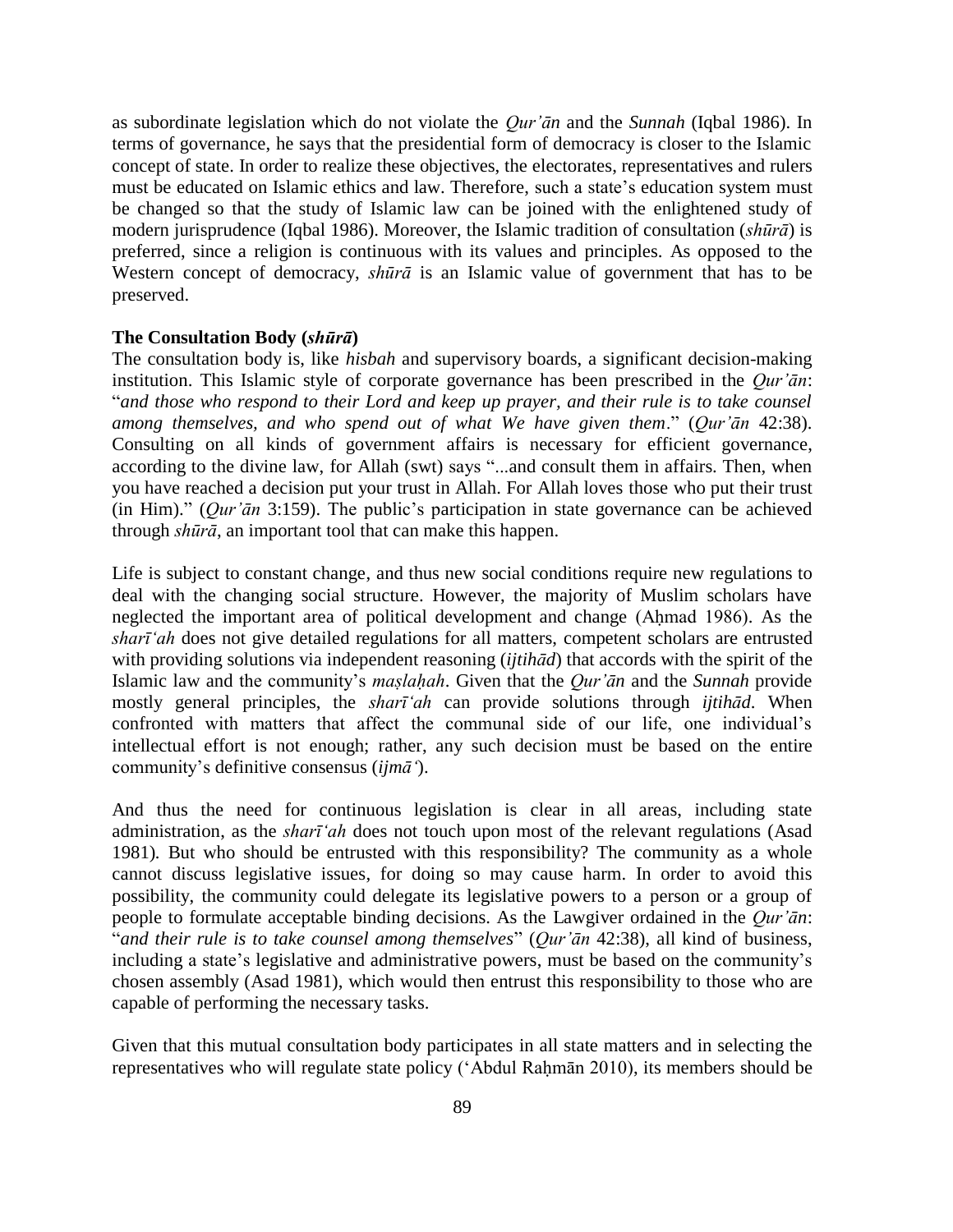as subordinate legislation which do not violate the *Qur'ān* and the *Sunnah* (Iqbal 1986). In terms of governance, he says that the presidential form of democracy is closer to the Islamic concept of state. In order to realize these objectives, the electorates, representatives and rulers must be educated on Islamic ethics and law. Therefore, such a state's education system must be changed so that the study of Islamic law can be joined with the enlightened study of modern jurisprudence (Iqbal 1986). Moreover, the Islamic tradition of consultation (*shūrā*) is preferred, since a religion is continuous with its values and principles. As opposed to the Western concept of democracy, *shūrā* is an Islamic value of government that has to be preserved.

## **The Consultation Body (***shūrā***)**

The consultation body is, like *hisbah* and supervisory boards, a significant decision-making institution. This Islamic style of corporate governance has been prescribed in the *Qur'ān*: "*and those who respond to their Lord and keep up prayer, and their rule is to take counsel among themselves, and who spend out of what We have given them*." (*Qur'ān* 42:38). Consulting on all kinds of government affairs is necessary for efficient governance, according to the divine law, for Allah (swt) says "...and consult them in affairs. Then, when you have reached a decision put your trust in Allah. For Allah loves those who put their trust (in Him)." (*Qur'ān* 3:159). The public's participation in state governance can be achieved through *shūrā*, an important tool that can make this happen.

Life is subject to constant change, and thus new social conditions require new regulations to deal with the changing social structure. However, the majority of Muslim scholars have neglected the important area of political development and change (Ahmad 1986). As the *sharī'ah* does not give detailed regulations for all matters, competent scholars are entrusted with providing solutions via independent reasoning (*ijtihād*) that accords with the spirit of the Islamic law and the community's *maṣlaḥah*. Given that the *Qur'ān* and the *Sunnah* provide mostly general principles, the *sharī'ah* can provide solutions through *ijtihād*. When confronted with matters that affect the communal side of our life, one individual's intellectual effort is not enough; rather, any such decision must be based on the entire community's definitive consensus (*ijmā'*).

And thus the need for continuous legislation is clear in all areas, including state administration, as the *sharī'ah* does not touch upon most of the relevant regulations (Asad 1981)*.* But who should be entrusted with this responsibility? The community as a whole cannot discuss legislative issues, for doing so may cause harm. In order to avoid this possibility, the community could delegate its legislative powers to a person or a group of people to formulate acceptable binding decisions. As the Lawgiver ordained in the *Qur'ān*: "*and their rule is to take counsel among themselves*" (*Qur'ān* 42:38), all kind of business, including a state's legislative and administrative powers, must be based on the community's chosen assembly (Asad 1981), which would then entrust this responsibility to those who are capable of performing the necessary tasks.

Given that this mutual consultation body participates in all state matters and in selecting the representatives who will regulate state policy ('Abdul Raḥmān 2010), its members should be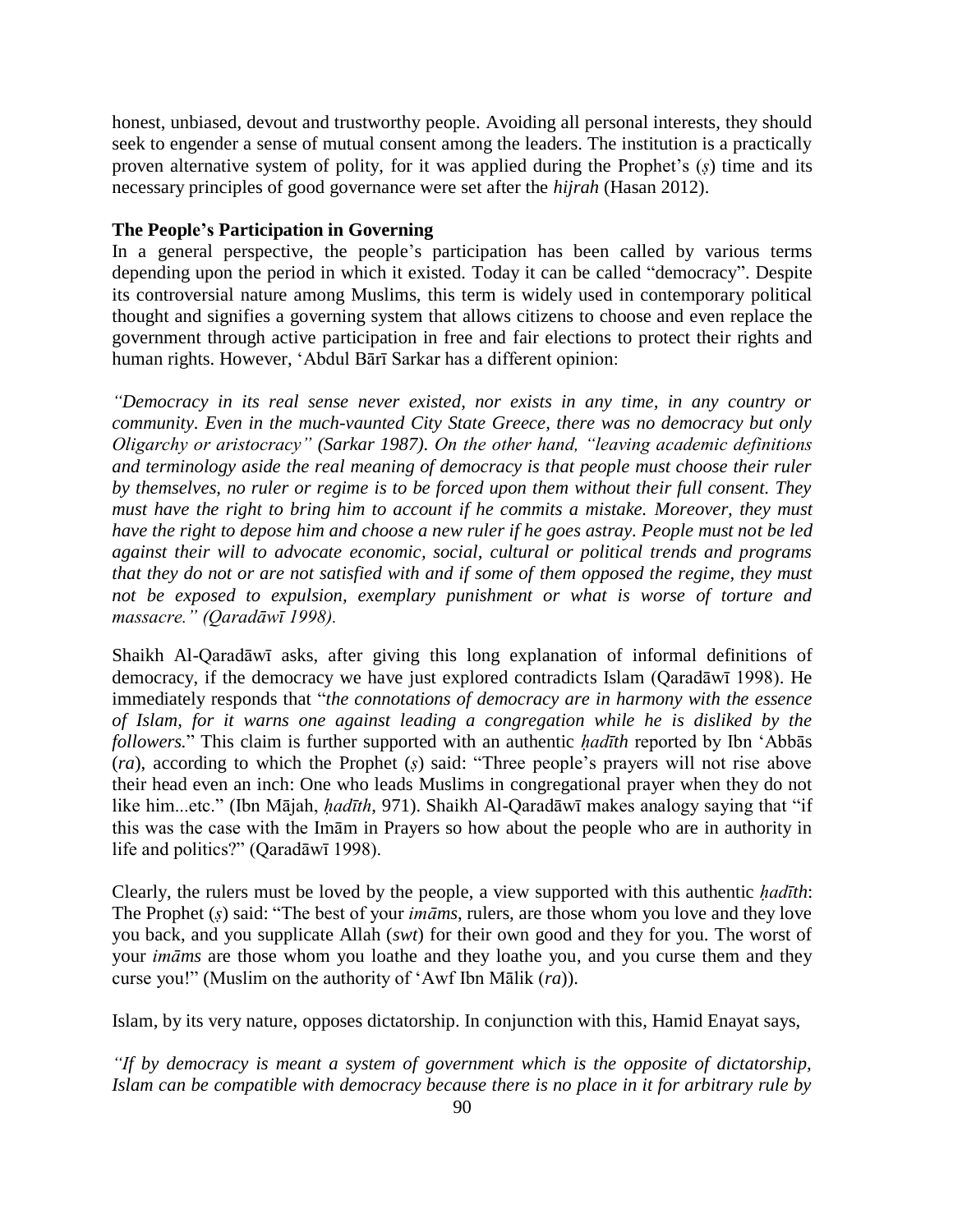honest, unbiased, devout and trustworthy people. Avoiding all personal interests, they should seek to engender a sense of mutual consent among the leaders. The institution is a practically proven alternative system of polity, for it was applied during the Prophet's (*ṣ*) time and its necessary principles of good governance were set after the *hijrah* (Hasan 2012).

## **The People's Participation in Governing**

In a general perspective, the people's participation has been called by various terms depending upon the period in which it existed. Today it can be called "democracy". Despite its controversial nature among Muslims, this term is widely used in contemporary political thought and signifies a governing system that allows citizens to choose and even replace the government through active participation in free and fair elections to protect their rights and human rights. However, 'Abdul Bārī Sarkar has a different opinion:

*"Democracy in its real sense never existed, nor exists in any time, in any country or community. Even in the much-vaunted City State Greece, there was no democracy but only Oligarchy or aristocracy" (Sarkar 1987). On the other hand, "leaving academic definitions and terminology aside the real meaning of democracy is that people must choose their ruler by themselves, no ruler or regime is to be forced upon them without their full consent. They must have the right to bring him to account if he commits a mistake. Moreover, they must have the right to depose him and choose a new ruler if he goes astray. People must not be led against their will to advocate economic, social, cultural or political trends and programs that they do not or are not satisfied with and if some of them opposed the regime, they must not be exposed to expulsion, exemplary punishment or what is worse of torture and massacre." (Qaradāwī 1998).*

Shaikh Al-Qaradāwī asks, after giving this long explanation of informal definitions of democracy, if the democracy we have just explored contradicts Islam (Qaradāwī 1998). He immediately responds that "*the connotations of democracy are in harmony with the essence of Islam, for it warns one against leading a congregation while he is disliked by the followers.*" This claim is further supported with an authentic *hadīth* reported by Ibn 'Abbās (*ra*), according to which the Prophet (*ṣ*) said: "Three people's prayers will not rise above their head even an inch: One who leads Muslims in congregational prayer when they do not like him...etc." (Ibn Mājah, *ḥadīth*, 971). Shaikh Al-Qaradāwī makes analogy saying that "if this was the case with the Imām in Prayers so how about the people who are in authority in life and politics?" (Qaradāwī 1998).

Clearly, the rulers must be loved by the people, a view supported with this authentic *hadīth*: The Prophet (*ṣ*) said: "The best of your *imāms*, rulers, are those whom you love and they love you back, and you supplicate Allah (*swt*) for their own good and they for you. The worst of your *imāms* are those whom you loathe and they loathe you, and you curse them and they curse you!" (Muslim on the authority of 'Awf Ibn Mālik (*ra*)).

Islam, by its very nature, opposes dictatorship. In conjunction with this, Hamid Enayat says,

*"If by democracy is meant a system of government which is the opposite of dictatorship, Islam can be compatible with democracy because there is no place in it for arbitrary rule by*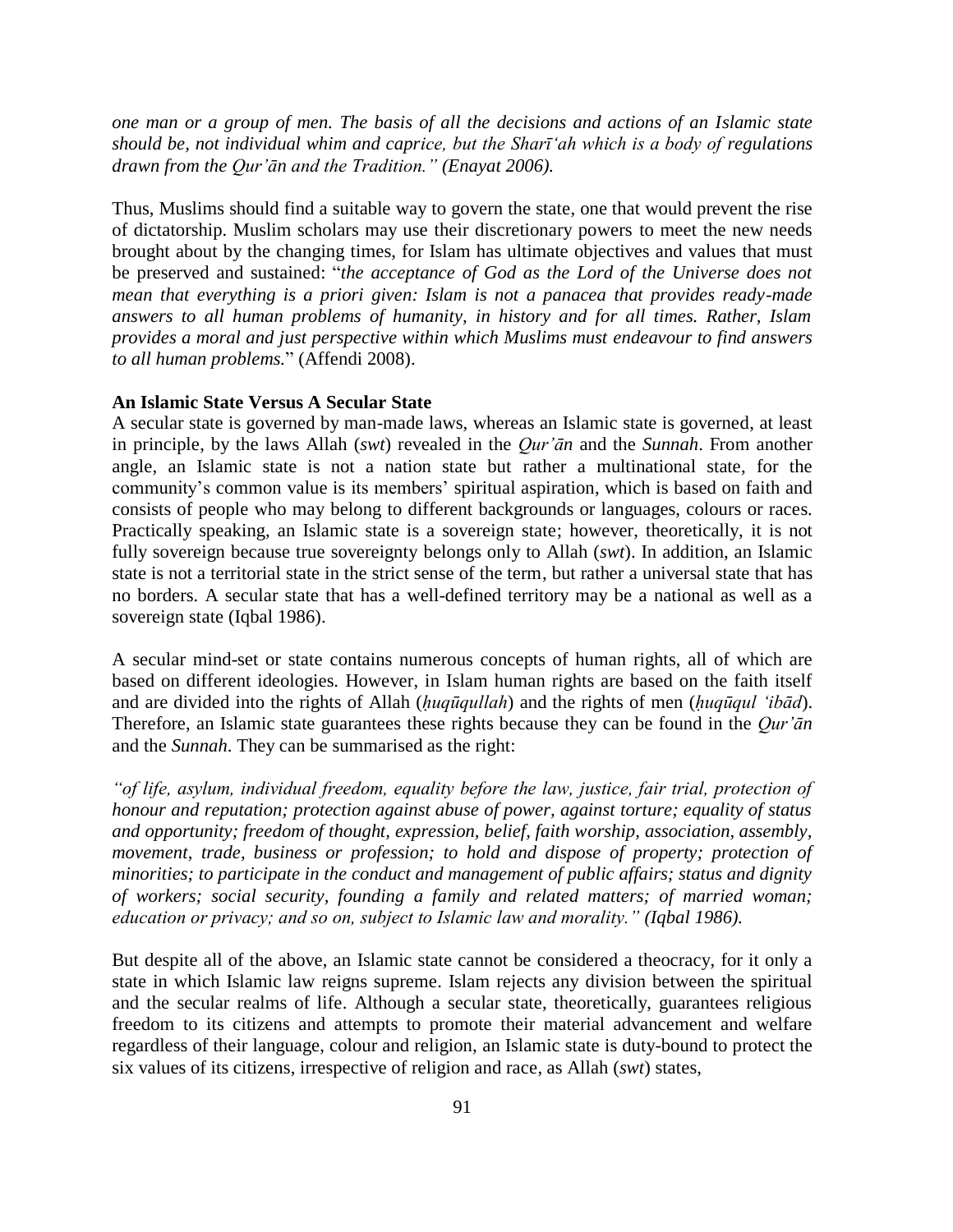*one man or a group of men. The basis of all the decisions and actions of an Islamic state should be, not individual whim and caprice, but the Sharī'ah which is a body of regulations drawn from the Qur'ān and the Tradition." (Enayat 2006).*

Thus, Muslims should find a suitable way to govern the state, one that would prevent the rise of dictatorship. Muslim scholars may use their discretionary powers to meet the new needs brought about by the changing times, for Islam has ultimate objectives and values that must be preserved and sustained: "*the acceptance of God as the Lord of the Universe does not mean that everything is a priori given: Islam is not a panacea that provides ready-made answers to all human problems of humanity, in history and for all times. Rather, Islam provides a moral and just perspective within which Muslims must endeavour to find answers to all human problems.*" (Affendi 2008).

## **An Islamic State Versus A Secular State**

A secular state is governed by man-made laws, whereas an Islamic state is governed, at least in principle, by the laws Allah (*swt*) revealed in the *Qur'ān* and the *Sunnah*. From another angle, an Islamic state is not a nation state but rather a multinational state, for the community's common value is its members' spiritual aspiration, which is based on faith and consists of people who may belong to different backgrounds or languages, colours or races. Practically speaking, an Islamic state is a sovereign state; however, theoretically, it is not fully sovereign because true sovereignty belongs only to Allah (*swt*). In addition, an Islamic state is not a territorial state in the strict sense of the term, but rather a universal state that has no borders. A secular state that has a well-defined territory may be a national as well as a sovereign state (Iqbal 1986).

A secular mind-set or state contains numerous concepts of human rights, all of which are based on different ideologies. However, in Islam human rights are based on the faith itself and are divided into the rights of Allah (*ḥuqūqullah*) and the rights of men (*ḥuqūqul 'ibād*). Therefore, an Islamic state guarantees these rights because they can be found in the *Qur'ān* and the *Sunnah*. They can be summarised as the right:

*"of life, asylum, individual freedom, equality before the law, justice, fair trial, protection of honour and reputation; protection against abuse of power, against torture; equality of status and opportunity; freedom of thought, expression, belief, faith worship, association, assembly, movement, trade, business or profession; to hold and dispose of property; protection of minorities; to participate in the conduct and management of public affairs; status and dignity of workers; social security, founding a family and related matters; of married woman; education or privacy; and so on, subject to Islamic law and morality." (Iqbal 1986).*

But despite all of the above, an Islamic state cannot be considered a theocracy, for it only a state in which Islamic law reigns supreme. Islam rejects any division between the spiritual and the secular realms of life. Although a secular state, theoretically, guarantees religious freedom to its citizens and attempts to promote their material advancement and welfare regardless of their language, colour and religion, an Islamic state is duty-bound to protect the six values of its citizens, irrespective of religion and race, as Allah (*swt*) states,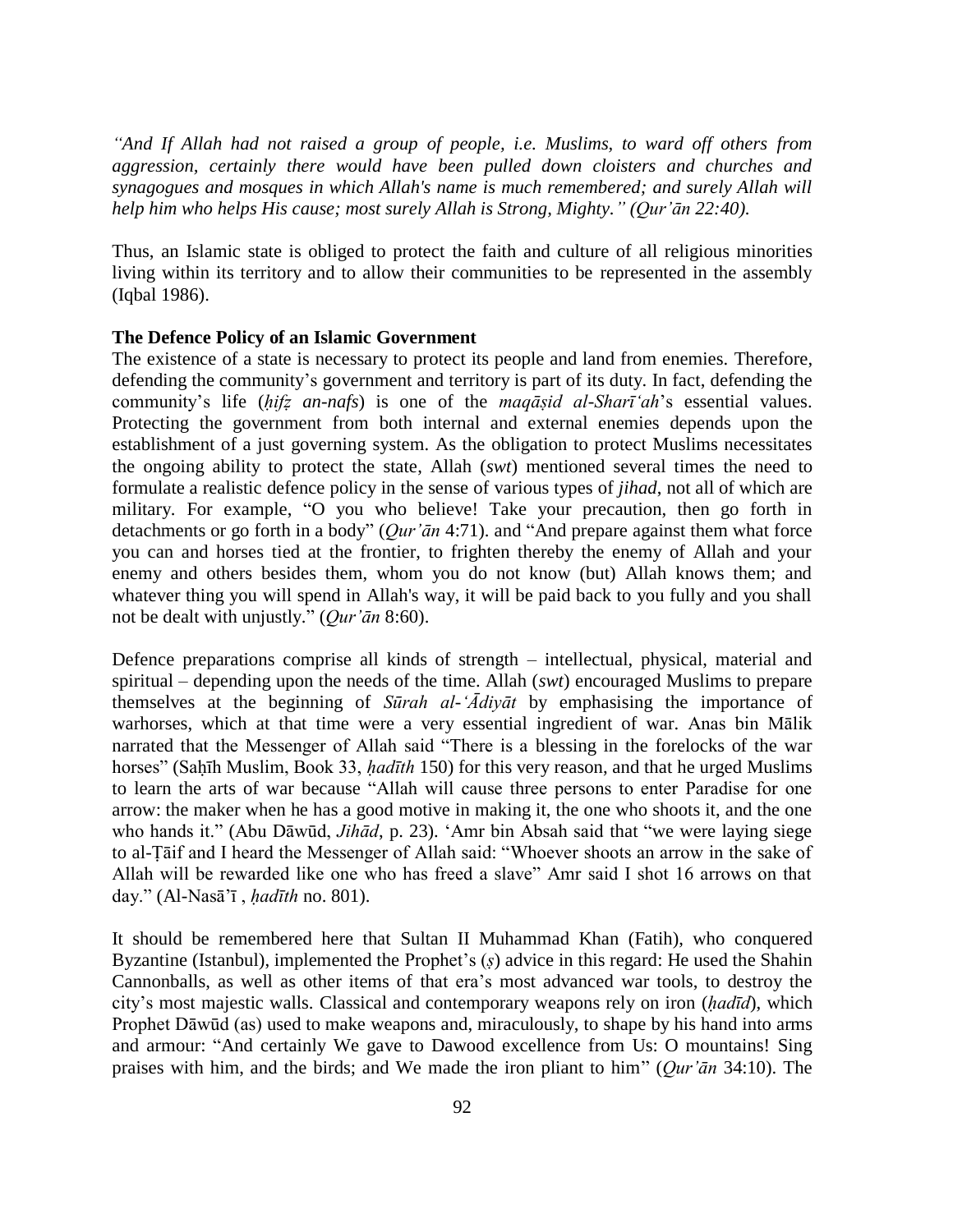*"And If Allah had not raised a group of people, i.e. Muslims, to ward off others from aggression, certainly there would have been pulled down cloisters and churches and synagogues and mosques in which Allah's name is much remembered; and surely Allah will help him who helps His cause; most surely Allah is Strong, Mighty." (Qur'ān 22:40).*

Thus, an Islamic state is obliged to protect the faith and culture of all religious minorities living within its territory and to allow their communities to be represented in the assembly (Iqbal 1986).

## **The Defence Policy of an Islamic Government**

The existence of a state is necessary to protect its people and land from enemies. Therefore, defending the community's government and territory is part of its duty. In fact, defending the community's life (*ḥifẓ an-nafs*) is one of the *maqāṣid al-Sharī'ah*'s essential values. Protecting the government from both internal and external enemies depends upon the establishment of a just governing system. As the obligation to protect Muslims necessitates the ongoing ability to protect the state, Allah (*swt*) mentioned several times the need to formulate a realistic defence policy in the sense of various types of *jihad*, not all of which are military. For example, "O you who believe! Take your precaution, then go forth in detachments or go forth in a body" (*Qur'ān* 4:71). and "And prepare against them what force you can and horses tied at the frontier, to frighten thereby the enemy of Allah and your enemy and others besides them, whom you do not know (but) Allah knows them; and whatever thing you will spend in Allah's way, it will be paid back to you fully and you shall not be dealt with unjustly." (*Qur'ān* 8:60).

Defence preparations comprise all kinds of strength – intellectual, physical, material and spiritual – depending upon the needs of the time. Allah (*swt*) encouraged Muslims to prepare themselves at the beginning of *Sūrah al-'Ādiyāt* by emphasising the importance of warhorses, which at that time were a very essential ingredient of war. Anas bin Mālik narrated that the Messenger of Allah said "There is a blessing in the forelocks of the war horses" (Saḥīh Muslim, Book 33, *ḥadīth* 150) for this very reason, and that he urged Muslims to learn the arts of war because "Allah will cause three persons to enter Paradise for one arrow: the maker when he has a good motive in making it, the one who shoots it, and the one who hands it." (Abu Dāwūd, *Jihād*, p. 23). 'Amr bin Absah said that "we were laying siege to al-Ṭāif and I heard the Messenger of Allah said: "Whoever shoots an arrow in the sake of Allah will be rewarded like one who has freed a slave" Amr said I shot 16 arrows on that day." (Al-Nasā'ī , *ḥadīth* no. 801).

It should be remembered here that Sultan II Muhammad Khan (Fatih), who conquered Byzantine (Istanbul), implemented the Prophet's (*ṣ*) advice in this regard: He used the Shahin Cannonballs, as well as other items of that era's most advanced war tools, to destroy the city's most majestic walls. Classical and contemporary weapons rely on iron (*ḥadīd*), which Prophet Dāwūd (as) used to make weapons and, miraculously, to shape by his hand into arms and armour: "And certainly We gave to Dawood excellence from Us: O mountains! Sing praises with him, and the birds; and We made the iron pliant to him" (*Qur'ān* 34:10). The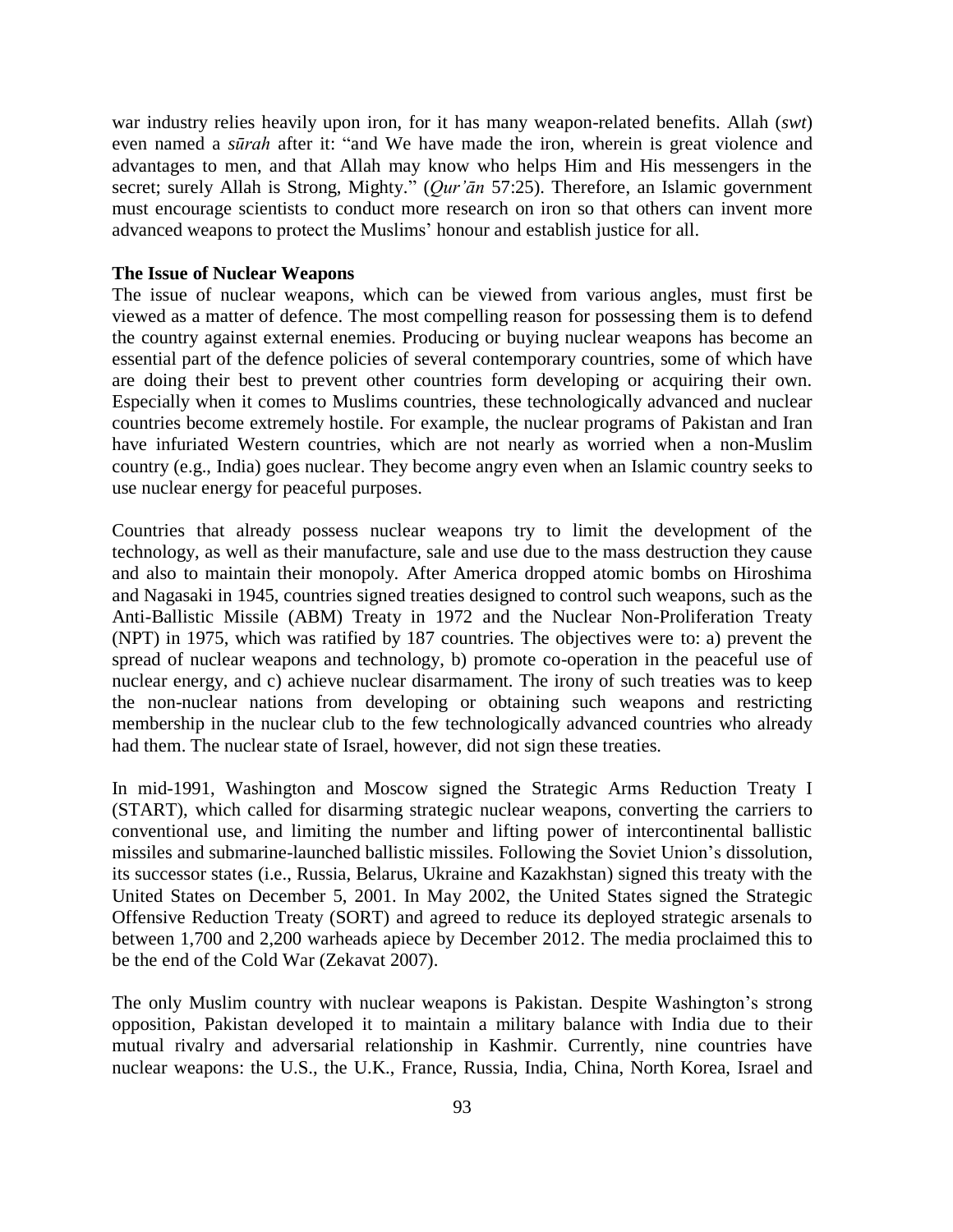war industry relies heavily upon iron, for it has many weapon-related benefits. Allah (*swt*) even named a *sūrah* after it: "and We have made the iron, wherein is great violence and advantages to men, and that Allah may know who helps Him and His messengers in the secret; surely Allah is Strong, Mighty." (*Qur'ān* 57:25). Therefore, an Islamic government must encourage scientists to conduct more research on iron so that others can invent more advanced weapons to protect the Muslims' honour and establish justice for all.

## **The Issue of Nuclear Weapons**

The issue of nuclear weapons, which can be viewed from various angles, must first be viewed as a matter of defence. The most compelling reason for possessing them is to defend the country against external enemies. Producing or buying nuclear weapons has become an essential part of the defence policies of several contemporary countries, some of which have are doing their best to prevent other countries form developing or acquiring their own. Especially when it comes to Muslims countries, these technologically advanced and nuclear countries become extremely hostile. For example, the nuclear programs of Pakistan and Iran have infuriated Western countries, which are not nearly as worried when a non-Muslim country (e.g., India) goes nuclear. They become angry even when an Islamic country seeks to use nuclear energy for peaceful purposes.

Countries that already possess nuclear weapons try to limit the development of the technology, as well as their manufacture, sale and use due to the mass destruction they cause and also to maintain their monopoly. After America dropped atomic bombs on Hiroshima and Nagasaki in 1945, countries signed treaties designed to control such weapons, such as the Anti-Ballistic Missile (ABM) Treaty in 1972 and the Nuclear Non-Proliferation Treaty (NPT) in 1975, which was ratified by 187 countries. The objectives were to: a) prevent the spread of nuclear weapons and technology, b) promote co-operation in the peaceful use of nuclear energy, and c) achieve nuclear disarmament. The irony of such treaties was to keep the non-nuclear nations from developing or obtaining such weapons and restricting membership in the nuclear club to the few technologically advanced countries who already had them. The nuclear state of Israel, however, did not sign these treaties.

In mid-1991, Washington and Moscow signed the Strategic Arms Reduction Treaty I (START), which called for disarming strategic nuclear weapons, converting the carriers to conventional use, and limiting the number and lifting power of intercontinental ballistic missiles and submarine-launched ballistic missiles. Following the Soviet Union's dissolution, its successor states (i.e., Russia, Belarus, Ukraine and Kazakhstan) signed this treaty with the United States on December 5, 2001. In May 2002, the United States signed the Strategic Offensive Reduction Treaty (SORT) and agreed to reduce its deployed strategic arsenals to between 1,700 and 2,200 warheads apiece by December 2012. The media proclaimed this to be the end of the Cold War (Zekavat 2007).

The only Muslim country with nuclear weapons is Pakistan. Despite Washington's strong opposition, Pakistan developed it to maintain a military balance with India due to their mutual rivalry and adversarial relationship in Kashmir. Currently, nine countries have nuclear weapons: the U.S., the U.K., France, Russia, India, China, North Korea, Israel and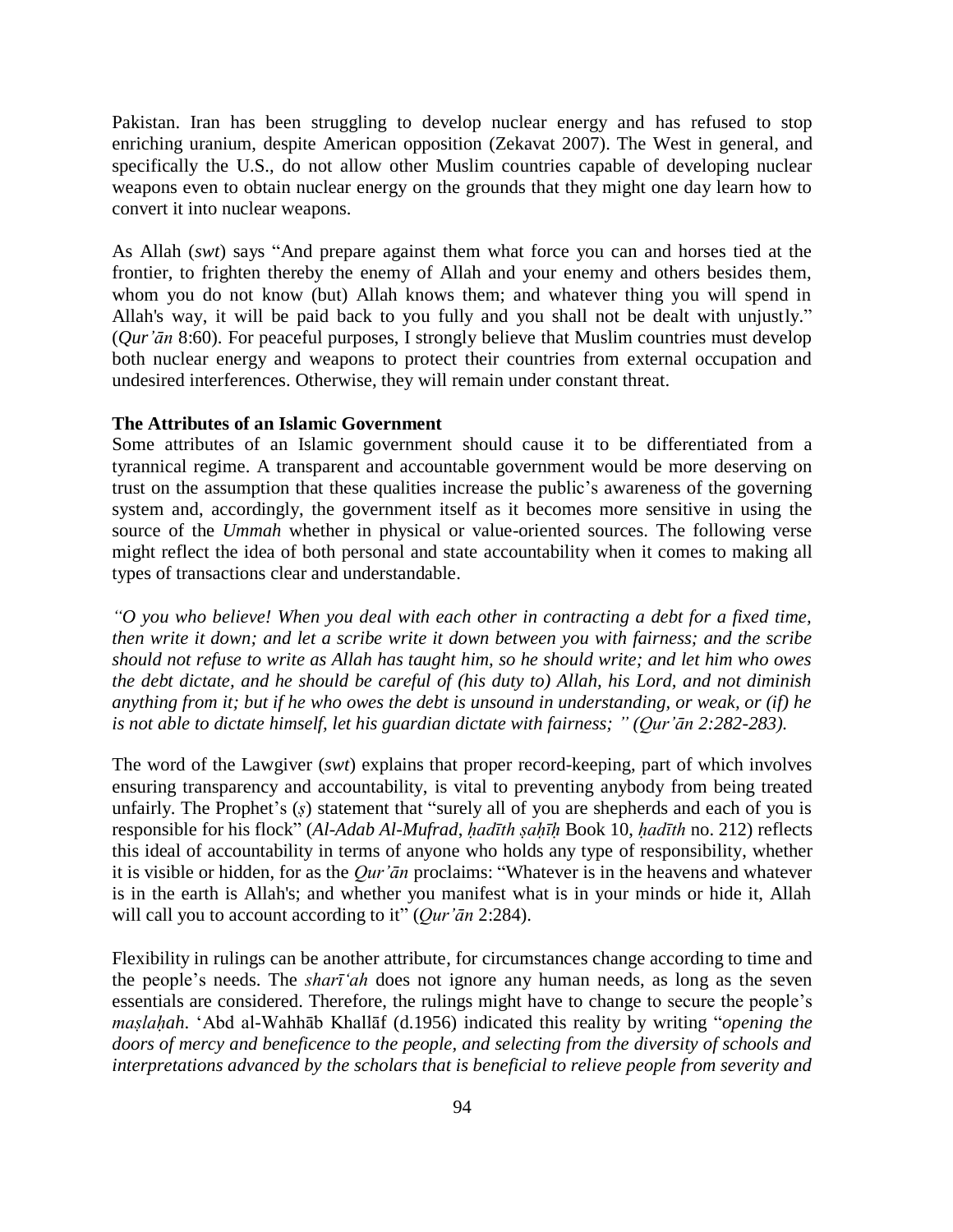Pakistan. Iran has been struggling to develop nuclear energy and has refused to stop enriching uranium, despite American opposition (Zekavat 2007). The West in general, and specifically the U.S., do not allow other Muslim countries capable of developing nuclear weapons even to obtain nuclear energy on the grounds that they might one day learn how to convert it into nuclear weapons.

As Allah (*swt*) says "And prepare against them what force you can and horses tied at the frontier, to frighten thereby the enemy of Allah and your enemy and others besides them, whom you do not know (but) Allah knows them; and whatever thing you will spend in Allah's way, it will be paid back to you fully and you shall not be dealt with unjustly." (*Qur'ān* 8:60). For peaceful purposes, I strongly believe that Muslim countries must develop both nuclear energy and weapons to protect their countries from external occupation and undesired interferences. Otherwise, they will remain under constant threat.

## **The Attributes of an Islamic Government**

Some attributes of an Islamic government should cause it to be differentiated from a tyrannical regime. A transparent and accountable government would be more deserving on trust on the assumption that these qualities increase the public's awareness of the governing system and, accordingly, the government itself as it becomes more sensitive in using the source of the *Ummah* whether in physical or value-oriented sources. The following verse might reflect the idea of both personal and state accountability when it comes to making all types of transactions clear and understandable.

*"O you who believe! When you deal with each other in contracting a debt for a fixed time, then write it down; and let a scribe write it down between you with fairness; and the scribe should not refuse to write as Allah has taught him, so he should write; and let him who owes the debt dictate, and he should be careful of (his duty to) Allah, his Lord, and not diminish anything from it; but if he who owes the debt is unsound in understanding, or weak, or (if) he is not able to dictate himself, let his guardian dictate with fairness; " (Qur'ān 2:282-283).*

The word of the Lawgiver (*swt*) explains that proper record-keeping, part of which involves ensuring transparency and accountability, is vital to preventing anybody from being treated unfairly. The Prophet's (*ṣ*) statement that "surely all of you are shepherds and each of you is responsible for his flock" (*Al-Adab Al-Mufrad*, *ḥadīth ṣaḥīḥ* Book 10, *ḥadīth* no. 212) reflects this ideal of accountability in terms of anyone who holds any type of responsibility, whether it is visible or hidden, for as the *Qur'ān* proclaims: "Whatever is in the heavens and whatever is in the earth is Allah's; and whether you manifest what is in your minds or hide it, Allah will call you to account according to it" (*Qur'ān* 2:284).

Flexibility in rulings can be another attribute, for circumstances change according to time and the people's needs. The *sharī'ah* does not ignore any human needs, as long as the seven essentials are considered. Therefore, the rulings might have to change to secure the people's *maṣlaḥah*. 'Abd al-Wahhāb Khallāf (d.1956) indicated this reality by writing "*opening the doors of mercy and beneficence to the people, and selecting from the diversity of schools and interpretations advanced by the scholars that is beneficial to relieve people from severity and*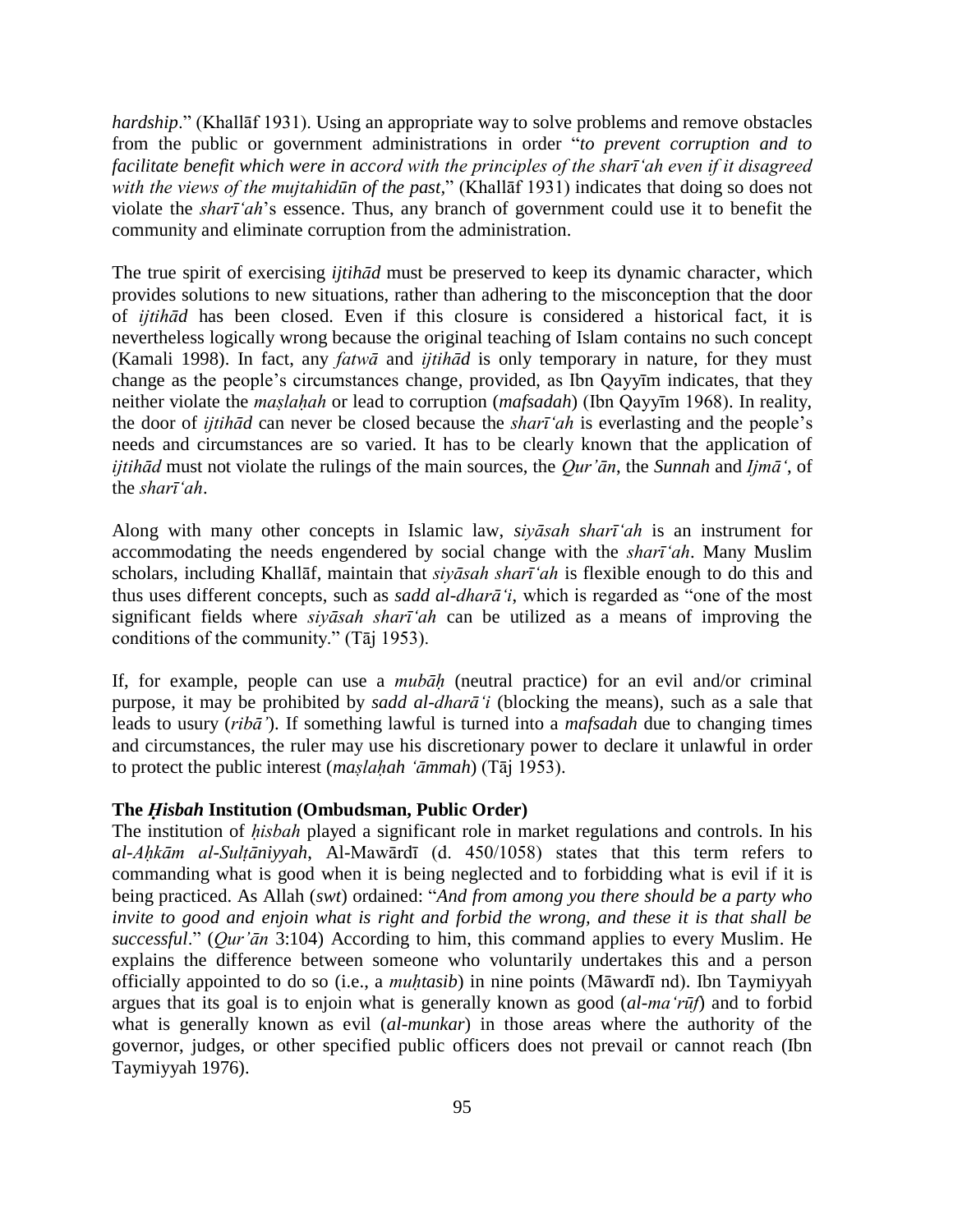*hardship*." (Khallāf 1931). Using an appropriate way to solve problems and remove obstacles from the public or government administrations in order "*to prevent corruption and to facilitate benefit which were in accord with the principles of the sharī'ah even if it disagreed with the views of the mujtahidūn of the past,*" (Khallāf 1931) indicates that doing so does not violate the *sharī'ah*'s essence. Thus, any branch of government could use it to benefit the community and eliminate corruption from the administration.

The true spirit of exercising *ijtihād* must be preserved to keep its dynamic character, which provides solutions to new situations, rather than adhering to the misconception that the door of *ijtihād* has been closed. Even if this closure is considered a historical fact, it is nevertheless logically wrong because the original teaching of Islam contains no such concept (Kamali 1998). In fact, any *fatwā* and *ijtihād* is only temporary in nature, for they must change as the people's circumstances change, provided, as Ibn Qayyīm indicates, that they neither violate the *maṣlaḥah* or lead to corruption (*mafsadah*) (Ibn Qayyīm 1968). In reality, the door of *ijtihād* can never be closed because the *sharī'ah* is everlasting and the people's needs and circumstances are so varied. It has to be clearly known that the application of *ijtihād* must not violate the rulings of the main sources, the *Qur'ān*, the *Sunnah* and *Ijmā'*, of the *sharī'ah*.

Along with many other concepts in Islamic law, *siyāsah sharī'ah* is an instrument for accommodating the needs engendered by social change with the *sharī'ah*. Many Muslim scholars, including Khallāf, maintain that *siyāsah sharī'ah* is flexible enough to do this and thus uses different concepts, such as *sadd al-dharā'i*, which is regarded as "one of the most significant fields where *siyāsah sharī'ah* can be utilized as a means of improving the conditions of the community." (Tāj 1953).

If, for example, people can use a *mubāḥ* (neutral practice) for an evil and/or criminal purpose, it may be prohibited by *sadd al-dharā'i* (blocking the means), such as a sale that leads to usury (*ribā'*). If something lawful is turned into a *mafsadah* due to changing times and circumstances, the ruler may use his discretionary power to declare it unlawful in order to protect the public interest (*maṣlaḥah 'āmmah*) (Tāj 1953).

#### **The** *Ḥisbah* **Institution (Ombudsman, Public Order)**

The institution of *hisbah* played a significant role in market regulations and controls. In his *al-Aḥkām al-Sulṭāniyyah*, Al-Mawārdī (d. 450/1058) states that this term refers to commanding what is good when it is being neglected and to forbidding what is evil if it is being practiced. As Allah (*swt*) ordained: "*And from among you there should be a party who invite to good and enjoin what is right and forbid the wrong, and these it is that shall be successful*." (*Qur'ān* 3:104) According to him, this command applies to every Muslim. He explains the difference between someone who voluntarily undertakes this and a person officially appointed to do so (i.e., a *muḥtasib*) in nine points (Māwardī nd). Ibn Taymiyyah argues that its goal is to enjoin what is generally known as good (*al-ma'rūf*) and to forbid what is generally known as evil (*al-munkar*) in those areas where the authority of the governor, judges, or other specified public officers does not prevail or cannot reach (Ibn Taymiyyah 1976).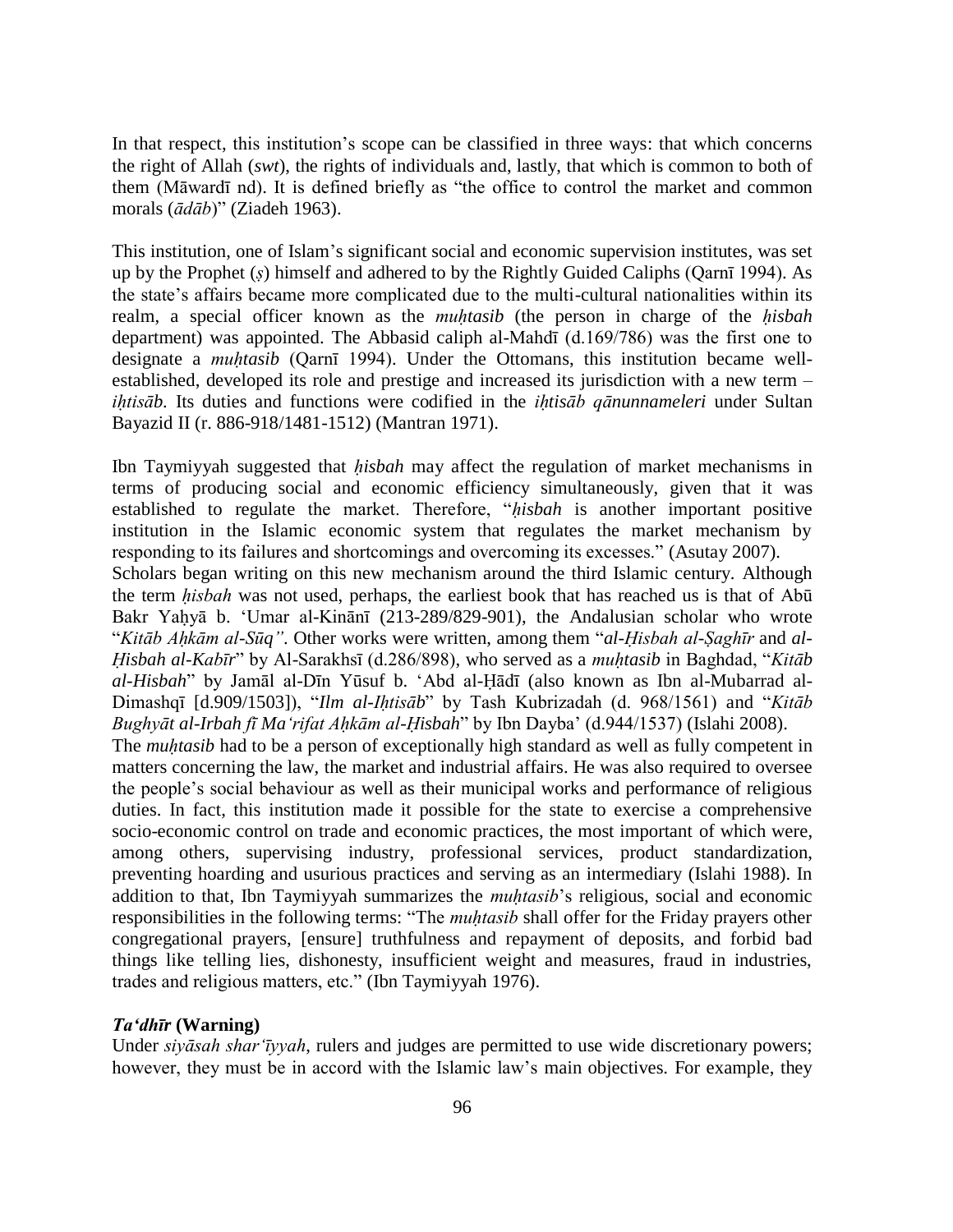In that respect, this institution's scope can be classified in three ways: that which concerns the right of Allah (*swt*), the rights of individuals and, lastly, that which is common to both of them (Māwardī nd). It is defined briefly as "the office to control the market and common morals (*ādāb*)" (Ziadeh 1963).

This institution, one of Islam's significant social and economic supervision institutes, was set up by the Prophet (*ṣ*) himself and adhered to by the Rightly Guided Caliphs (Qarnī 1994). As the state's affairs became more complicated due to the multi-cultural nationalities within its realm, a special officer known as the *muḥtasib* (the person in charge of the *ḥisbah* department) was appointed. The Abbasid caliph al-Mahdī (d.169/786) was the first one to designate a *muḥtasib* (Qarnī 1994). Under the Ottomans, this institution became wellestablished, developed its role and prestige and increased its jurisdiction with a new term – *iḥtisāb.* Its duties and functions were codified in the *iḥtisāb qānunnameleri* under Sultan Bayazid II (r. 886-918/1481-1512) (Mantran 1971).

Ibn Taymiyyah suggested that *ḥisbah* may affect the regulation of market mechanisms in terms of producing social and economic efficiency simultaneously, given that it was established to regulate the market. Therefore, "*ḥisbah* is another important positive institution in the Islamic economic system that regulates the market mechanism by responding to its failures and shortcomings and overcoming its excesses." (Asutay 2007).

Scholars began writing on this new mechanism around the third Islamic century. Although the term *ḥisbah* was not used, perhaps, the earliest book that has reached us is that of Abū Bakr Yaḥyā b. 'Umar al-Kinānī (213-289/829-901), the Andalusian scholar who wrote "*Kitāb Aḥkām al-Sūq"*. Other works were written, among them "*al-Ḥisbah al-Ṣaghīr* and *al-Ḥisbah al-Kabīr*" by Al-Sarakhsī (d.286/898), who served as a *muḥtasib* in Baghdad, "*Kitāb al-Hisbah*" by Jamāl al-Dīn Yūsuf b. 'Abd al-Ḥādī (also known as Ibn al-Mubarrad al-Dimashqī [d.909/1503]), "*Ilm al-Iḥtisāb*" by Tash Kubrizadah (d. 968/1561) and "*Kitāb Bughyāt al-Irbah fī Ma'rifat Aḥkām al-Ḥisbah*" by Ibn Dayba' (d.944/1537) (Islahi 2008).

The *muhtasib* had to be a person of exceptionally high standard as well as fully competent in matters concerning the law, the market and industrial affairs. He was also required to oversee the people's social behaviour as well as their municipal works and performance of religious duties. In fact, this institution made it possible for the state to exercise a comprehensive socio-economic control on trade and economic practices, the most important of which were, among others, supervising industry, professional services, product standardization, preventing hoarding and usurious practices and serving as an intermediary (Islahi 1988). In addition to that, Ibn Taymiyyah summarizes the *muhtasib*'s religious, social and economic responsibilities in the following terms: "The *muḥtasib* shall offer for the Friday prayers other congregational prayers, [ensure] truthfulness and repayment of deposits, and forbid bad things like telling lies, dishonesty, insufficient weight and measures, fraud in industries, trades and religious matters, etc." (Ibn Taymiyyah 1976).

## *Ta'dhīr* **(Warning)**

Under *siyāsah shar'īyyah*, rulers and judges are permitted to use wide discretionary powers; however, they must be in accord with the Islamic law's main objectives. For example, they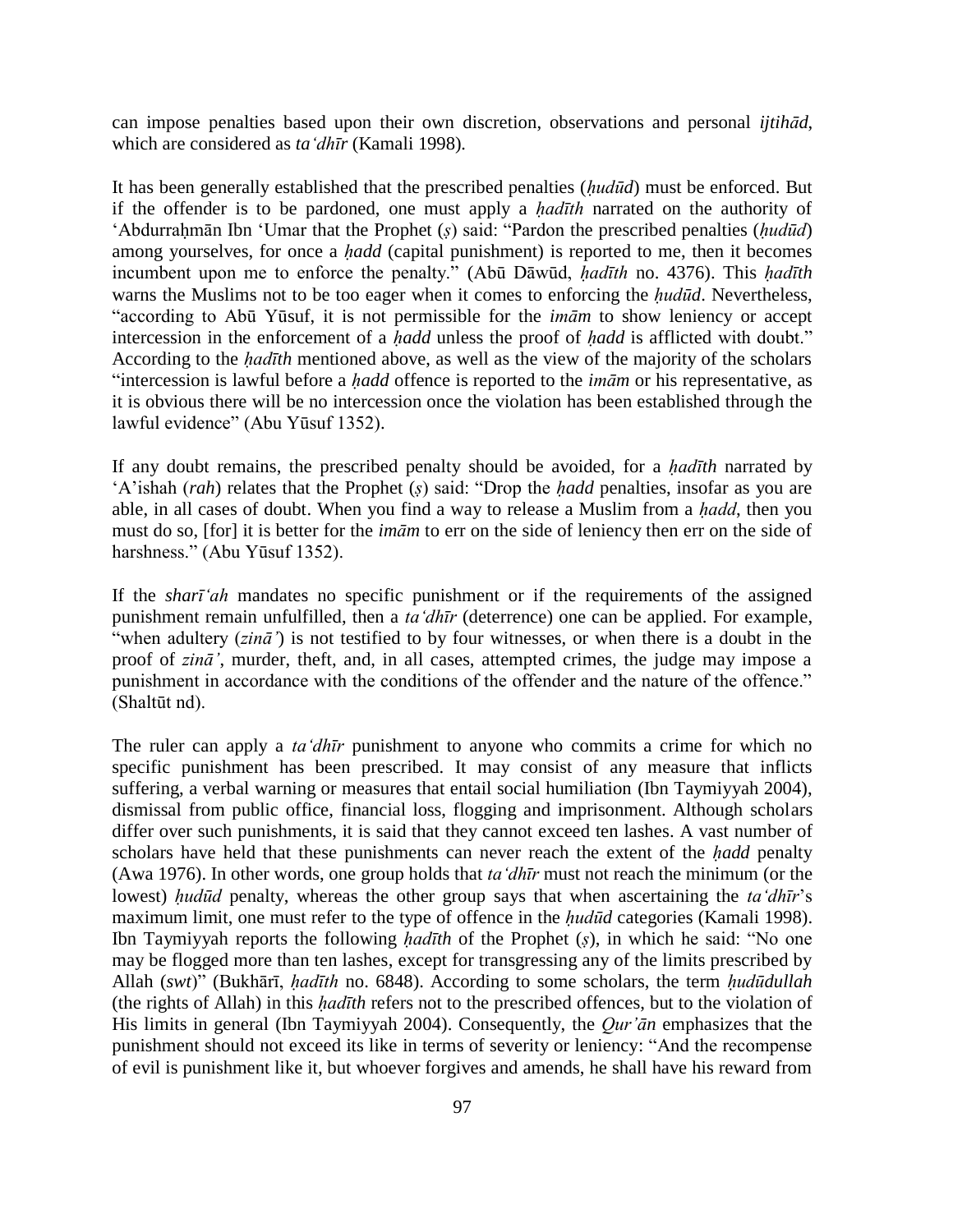can impose penalties based upon their own discretion, observations and personal *ijtihād*, which are considered as *ta'dhīr* (Kamali 1998)*.*

It has been generally established that the prescribed penalties (*ḥudūd*) must be enforced. But if the offender is to be pardoned, one must apply a *hadīth* narrated on the authority of 'Abdurraḥmān Ibn 'Umar that the Prophet (*ṣ*) said: "Pardon the prescribed penalties (*ḥudūd*) among yourselves, for once a *ḥadd* (capital punishment) is reported to me, then it becomes incumbent upon me to enforce the penalty." (Abū Dāwūd, *ḥadīth* no. 4376). This *ḥadīth* warns the Muslims not to be too eager when it comes to enforcing the *ḥudūd*. Nevertheless, "according to Abū Yūsuf, it is not permissible for the *imām* to show leniency or accept intercession in the enforcement of a *ḥadd* unless the proof of *ḥadd* is afflicted with doubt." According to the *ḥadīth* mentioned above, as well as the view of the majority of the scholars "intercession is lawful before a *ḥadd* offence is reported to the *imām* or his representative, as it is obvious there will be no intercession once the violation has been established through the lawful evidence" (Abu Yūsuf 1352).

If any doubt remains, the prescribed penalty should be avoided, for a *ḥadīth* narrated by 'A'ishah (*rah*) relates that the Prophet (*ṣ*) said: "Drop the *ḥadd* penalties, insofar as you are able, in all cases of doubt. When you find a way to release a Muslim from a *ḥadd*, then you must do so, [for] it is better for the *imām* to err on the side of leniency then err on the side of harshness." (Abu Yūsuf 1352).

If the *sharī'ah* mandates no specific punishment or if the requirements of the assigned punishment remain unfulfilled, then a *ta'dhīr* (deterrence) one can be applied. For example, "when adultery (*zinā'*) is not testified to by four witnesses, or when there is a doubt in the proof of *zinā'*, murder, theft, and, in all cases, attempted crimes, the judge may impose a punishment in accordance with the conditions of the offender and the nature of the offence." (Shaltūt nd).

The ruler can apply a *ta'dhīr* punishment to anyone who commits a crime for which no specific punishment has been prescribed. It may consist of any measure that inflicts suffering, a verbal warning or measures that entail social humiliation (Ibn Taymiyyah 2004), dismissal from public office, financial loss, flogging and imprisonment. Although scholars differ over such punishments, it is said that they cannot exceed ten lashes. A vast number of scholars have held that these punishments can never reach the extent of the *ḥadd* penalty (Awa 1976). In other words, one group holds that *ta'dhīr* must not reach the minimum (or the lowest) *ḥudūd* penalty, whereas the other group says that when ascertaining the *ta'dhīr*'s maximum limit, one must refer to the type of offence in the *ḥudūd* categories (Kamali 1998). Ibn Taymiyyah reports the following *ḥadīth* of the Prophet (*ṣ*), in which he said: "No one may be flogged more than ten lashes, except for transgressing any of the limits prescribed by Allah (*swt*)" (Bukhārī, *ḥadīth* no. 6848). According to some scholars, the term *ḥudūdullah* (the rights of Allah) in this *ḥadīth* refers not to the prescribed offences, but to the violation of His limits in general (Ibn Taymiyyah 2004). Consequently, the *Qur'ān* emphasizes that the punishment should not exceed its like in terms of severity or leniency: "And the recompense of evil is punishment like it, but whoever forgives and amends, he shall have his reward from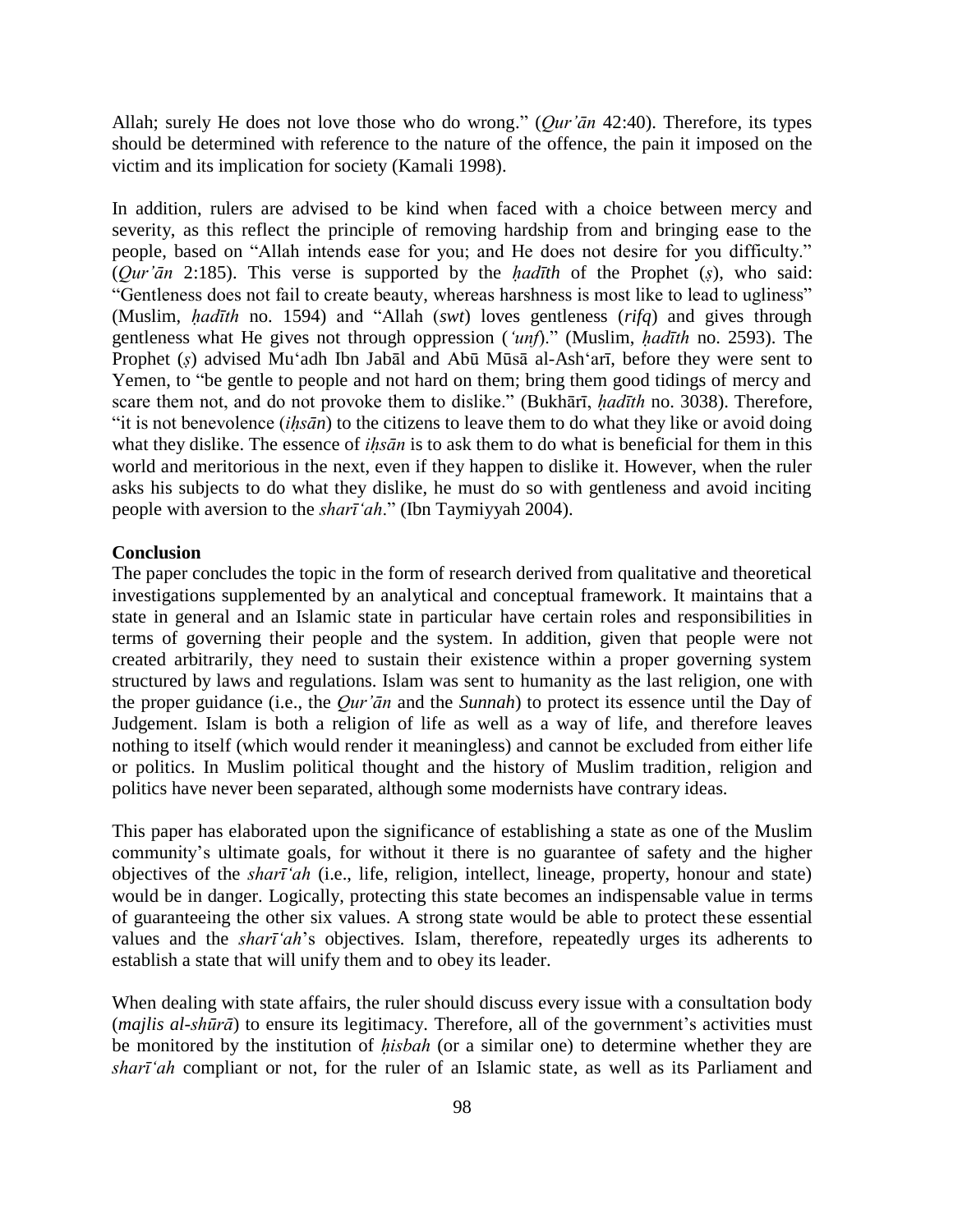Allah; surely He does not love those who do wrong." (*Qur'ān* 42:40). Therefore, its types should be determined with reference to the nature of the offence, the pain it imposed on the victim and its implication for society (Kamali 1998).

In addition, rulers are advised to be kind when faced with a choice between mercy and severity, as this reflect the principle of removing hardship from and bringing ease to the people, based on "Allah intends ease for you; and He does not desire for you difficulty." (*Qur'ān* 2:185). This verse is supported by the *ḥadīth* of the Prophet (*ṣ*), who said: "Gentleness does not fail to create beauty, whereas harshness is most like to lead to ugliness" (Muslim, *ḥadīth* no. 1594) and "Allah (*swt*) loves gentleness (*rifq*) and gives through gentleness what He gives not through oppression (*'unf*)." (Muslim, *ḥadīth* no. 2593). The Prophet (*ṣ*) advised Mu'adh Ibn Jabāl and Abū Mūsā al-Ash'arī, before they were sent to Yemen, to "be gentle to people and not hard on them; bring them good tidings of mercy and scare them not, and do not provoke them to dislike." (Bukhārī, *ḥadīth* no. 3038). Therefore, "it is not benevolence (*iḥsān*) to the citizens to leave them to do what they like or avoid doing what they dislike. The essence of *iḥsān* is to ask them to do what is beneficial for them in this world and meritorious in the next, even if they happen to dislike it. However, when the ruler asks his subjects to do what they dislike, he must do so with gentleness and avoid inciting people with aversion to the *sharī'ah*." (Ibn Taymiyyah 2004).

## **Conclusion**

The paper concludes the topic in the form of research derived from qualitative and theoretical investigations supplemented by an analytical and conceptual framework. It maintains that a state in general and an Islamic state in particular have certain roles and responsibilities in terms of governing their people and the system. In addition, given that people were not created arbitrarily, they need to sustain their existence within a proper governing system structured by laws and regulations. Islam was sent to humanity as the last religion, one with the proper guidance (i.e., the *Qur'ān* and the *Sunnah*) to protect its essence until the Day of Judgement. Islam is both a religion of life as well as a way of life, and therefore leaves nothing to itself (which would render it meaningless) and cannot be excluded from either life or politics. In Muslim political thought and the history of Muslim tradition, religion and politics have never been separated, although some modernists have contrary ideas.

This paper has elaborated upon the significance of establishing a state as one of the Muslim community's ultimate goals, for without it there is no guarantee of safety and the higher objectives of the *sharī'ah* (i.e., life, religion, intellect, lineage, property, honour and state) would be in danger. Logically, protecting this state becomes an indispensable value in terms of guaranteeing the other six values. A strong state would be able to protect these essential values and the *sharī'ah*'s objectives*.* Islam, therefore, repeatedly urges its adherents to establish a state that will unify them and to obey its leader.

When dealing with state affairs, the ruler should discuss every issue with a consultation body (*majlis al-shūrā*) to ensure its legitimacy. Therefore, all of the government's activities must be monitored by the institution of *ḥisbah* (or a similar one) to determine whether they are *sharī'ah* compliant or not, for the ruler of an Islamic state, as well as its Parliament and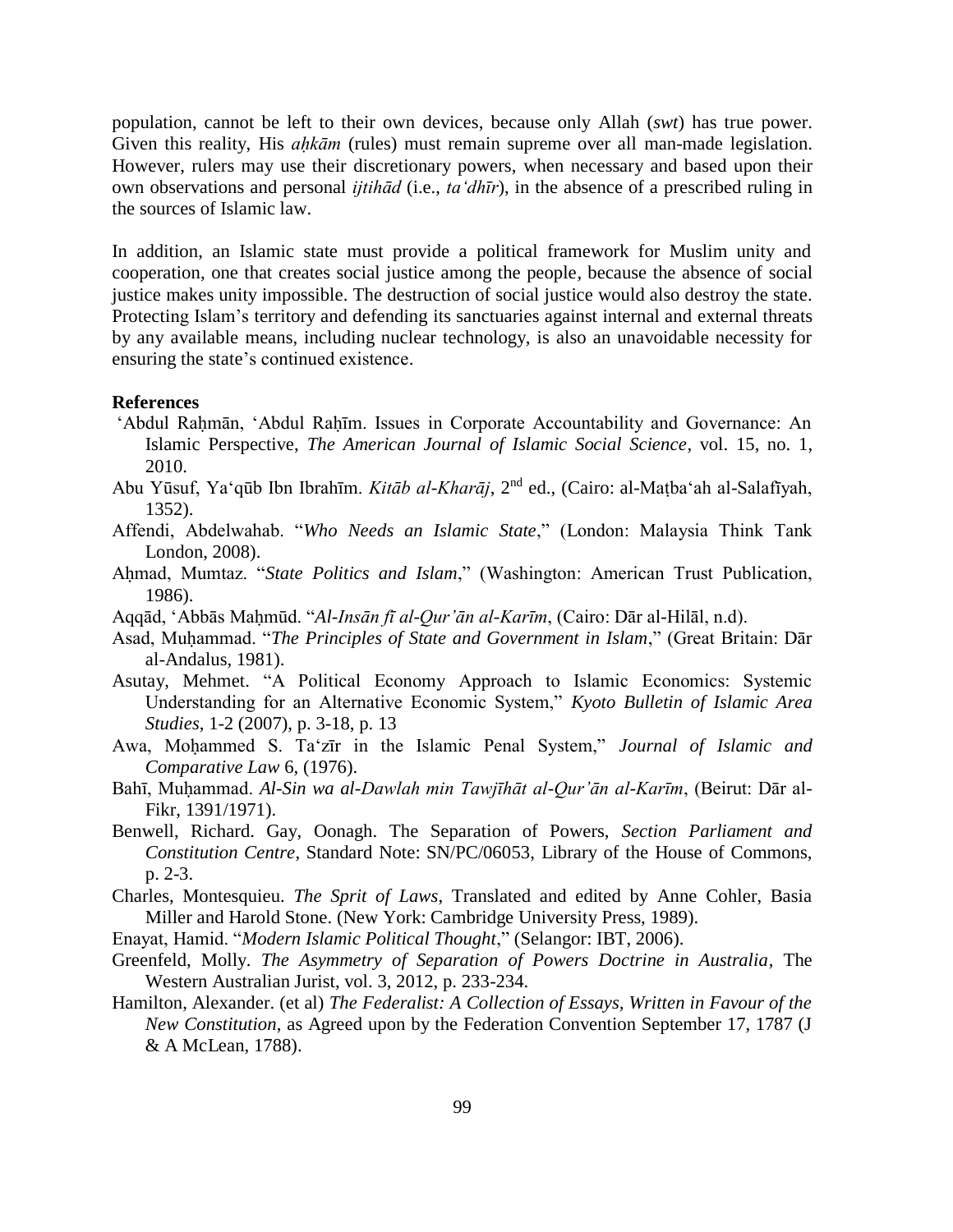population, cannot be left to their own devices, because only Allah (*swt*) has true power. Given this reality, His *ahkām* (rules) must remain supreme over all man-made legislation. However, rulers may use their discretionary powers, when necessary and based upon their own observations and personal *ijtihād* (i.e., *ta'dhīr*), in the absence of a prescribed ruling in the sources of Islamic law.

In addition, an Islamic state must provide a political framework for Muslim unity and cooperation, one that creates social justice among the people, because the absence of social justice makes unity impossible. The destruction of social justice would also destroy the state. Protecting Islam's territory and defending its sanctuaries against internal and external threats by any available means, including nuclear technology, is also an unavoidable necessity for ensuring the state's continued existence.

## **References**

- 'Abdul Rahmān, 'Abdul Rahīm. Issues in Corporate Accountability and Governance: An Islamic Perspective, *The American Journal of Islamic Social Science*, vol. 15, no. 1, 2010.
- Abu Yūsuf, Ya'qūb Ibn Ibrahīm. *Kitāb al-Kharāj*, 2nd ed., (Cairo: al-Maṭba'ah al-Salafīyah, 1352).
- Affendi, Abdelwahab. "*Who Needs an Islamic State*," (London: Malaysia Think Tank London, 2008).
- Ahmad, Mumtaz. "*State Politics and Islam*," (Washington: American Trust Publication, 1986).
- Aqqād, 'Abbās Maḥmūd. "*Al-Insān fī al-Qur'ān al-Karīm*, (Cairo: Dār al-Hilāl, n.d).
- Asad, Muḥammad. "*The Principles of State and Government in Islam*," (Great Britain: Dār al-Andalus, 1981).
- Asutay, Mehmet. "A Political Economy Approach to Islamic Economics: Systemic Understanding for an Alternative Economic System," *Kyoto Bulletin of Islamic Area Studies*, 1-2 (2007), p. 3-18, p. 13
- Awa, Moḥammed S. Ta'zīr in the Islamic Penal System," *Journal of Islamic and Comparative Law* 6, (1976).
- Bahī, Muḥammad. *Al-Sin wa al-Dawlah min Tawjīhāt al-Qur'ān al-Karīm*, (Beirut: Dār al-Fikr, 1391/1971).
- Benwell, Richard. Gay, Oonagh. The Separation of Powers, *Section Parliament and Constitution Centre*, Standard Note: SN/PC/06053, Library of the House of Commons, p. 2-3.
- Charles, Montesquieu. *The Sprit of Laws*, Translated and edited by Anne Cohler, Basia Miller and Harold Stone. (New York: Cambridge University Press, 1989).
- Enayat, Hamid. "*Modern Islamic Political Thought*," (Selangor: IBT, 2006).
- Greenfeld, Molly. *The Asymmetry of Separation of Powers Doctrine in Australia*, The Western Australian Jurist, vol. 3, 2012, p. 233-234.
- Hamilton, Alexander. (et al) *The Federalist: A Collection of Essays, Written in Favour of the New Constitution*, as Agreed upon by the Federation Convention September 17, 1787 (J & A McLean, 1788).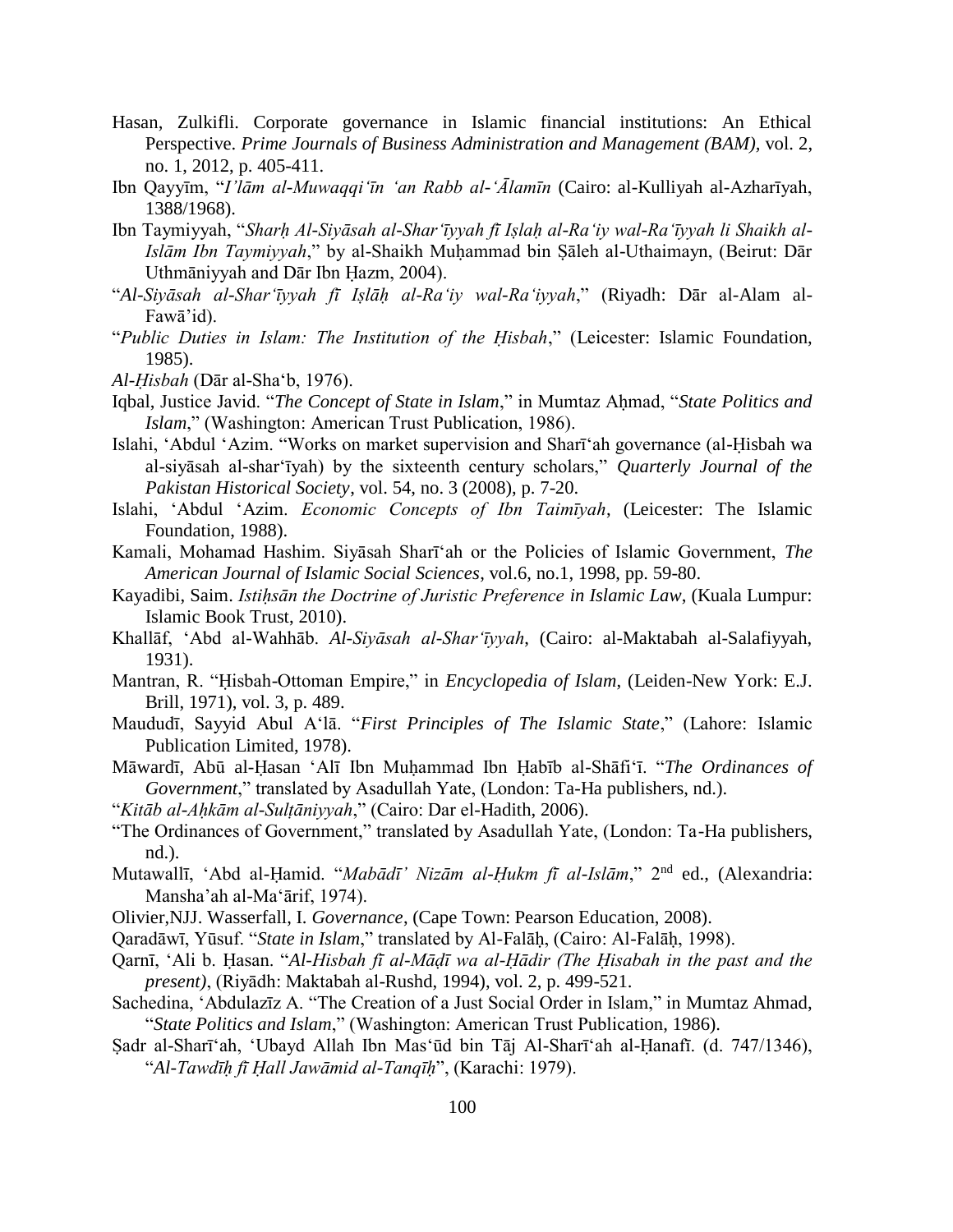- Hasan, Zulkifli. Corporate governance in Islamic financial institutions: An Ethical Perspective. *Prime Journals of Business Administration and Management (BAM),* vol. 2, no. 1, 2012, p. 405-411.
- Ibn Qayyīm, "*I'lām al-Muwaqqi'īn 'an Rabb al-'Ālamīn* (Cairo: al-Kulliyah al-Azharīyah, 1388/1968).
- Ibn Taymiyyah, "*Sharḥ Al-Siyāsah al-Shar'īyyah fī Iṣlaḥ al-Ra'iy wal-Ra'īyyah li Shaikh al-Islām Ibn Taymiyyah*," by al-Shaikh Muḥammad bin Ṣāleh al-Uthaimayn, (Beirut: Dār Uthmāniyyah and Dār Ibn Ḥazm, 2004).
- "*Al-Siyāsah al-Shar'īyyah fī Iṣlāḥ al-Ra'iy wal-Ra'iyyah*," (Riyadh: Dār al-Alam al-Fawā'id).
- "*Public Duties in Islam: The Institution of the Ḥisbah*," (Leicester: Islamic Foundation, 1985).
- *Al-Ḥisbah* (Dār al-Sha'b, 1976).
- Iqbal, Justice Javid. "*The Concept of State in Islam*," in Mumtaz Aḥmad, "*State Politics and Islam*," (Washington: American Trust Publication, 1986).
- Islahi, 'Abdul 'Azim. "Works on market supervision and Sharī'ah governance (al-Ḥisbah wa al-siyāsah al-shar'īyah) by the sixteenth century scholars," *Quarterly Journal of the Pakistan Historical Society*, vol. 54, no. 3 (2008), p. 7-20.
- Islahi, 'Abdul 'Azim. *Economic Concepts of Ibn Taimīyah*, (Leicester: The Islamic Foundation, 1988).
- Kamali, Mohamad Hashim. Siyāsah Sharī'ah or the Policies of Islamic Government, *The American Journal of Islamic Social Sciences*, vol.6, no.1, 1998, pp. 59-80.
- Kayadibi, Saim. *Istiḥsān the Doctrine of Juristic Preference in Islamic Law*, (Kuala Lumpur: Islamic Book Trust, 2010).
- Khallāf, 'Abd al-Wahhāb. *Al-Siyāsah al-Shar'īyyah*, (Cairo: al-Maktabah al-Salafiyyah, 1931).
- Mantran, R. "Ḥisbah-Ottoman Empire," in *Encyclopedia of Islam*, (Leiden-New York: E.J. Brill, 1971), vol. 3, p. 489.
- Maududī, Sayyid Abul A'lā. "*First Principles of The Islamic State*," (Lahore: Islamic Publication Limited, 1978).
- Māwardī, Abū al-Ḥasan 'Alī Ibn Muḥammad Ibn Ḥabīb al-Shāfi'ī. "*The Ordinances of Government*," translated by Asadullah Yate, (London: Ta-Ha publishers, nd.).
- "*Kitāb al-Aḥkām al-Sulṭāniyyah*," (Cairo: Dar el-Hadith, 2006).
- "The Ordinances of Government," translated by Asadullah Yate, (London: Ta-Ha publishers, nd.).
- Mutawallī, 'Abd al-Ḥamid. "*Mabādī' Nizām al-Ḥukm fī al-Islām*," 2nd ed., (Alexandria: Mansha'ah al-Ma'ārif, 1974).
- Olivier,NJJ. Wasserfall, I. *Governance*, (Cape Town: Pearson Education, 2008).
- Qaradāwī, Yūsuf. "*State in Islam*," translated by Al-Falāḥ, (Cairo: Al-Falāḥ, 1998).
- Qarnī, 'Ali b. Ḥasan. "*Al-Hisbah fī al-Māḍī wa al-Ḥādir (The Ḥisabah in the past and the present)*, (Riyādh: Maktabah al-Rushd, 1994), vol. 2, p. 499-521.
- Sachedina, 'Abdulazīz A. "The Creation of a Just Social Order in Islam," in Mumtaz Ahmad, "*State Politics and Islam*," (Washington: American Trust Publication, 1986).
- Ṣadr al-Sharī'ah, 'Ubayd Allah Ibn Mas'ūd bin Tāj Al-Sharī'ah al-Ḥanafī. (d. 747/1346), "*Al-Tawdīḥ fī Ḥall Jawāmid al-Tanqīḥ*", (Karachi: 1979).